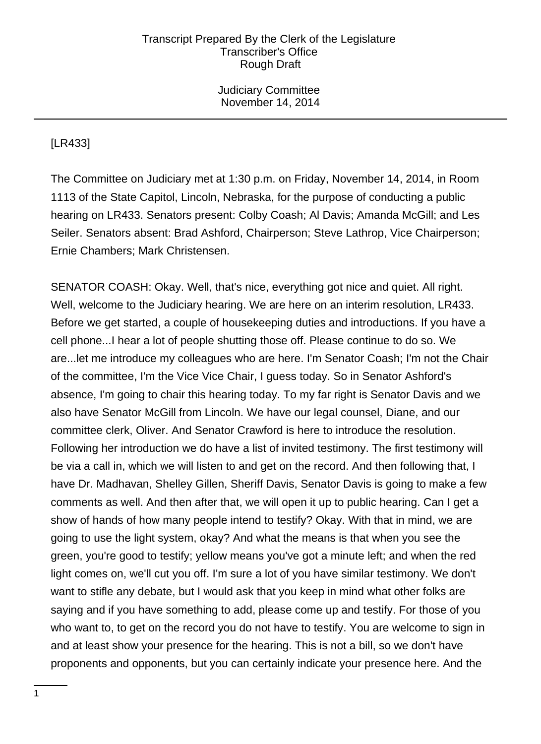Judiciary Committee November 14, 2014

# [LR433]

The Committee on Judiciary met at 1:30 p.m. on Friday, November 14, 2014, in Room 1113 of the State Capitol, Lincoln, Nebraska, for the purpose of conducting a public hearing on LR433. Senators present: Colby Coash; Al Davis; Amanda McGill; and Les Seiler. Senators absent: Brad Ashford, Chairperson; Steve Lathrop, Vice Chairperson; Ernie Chambers; Mark Christensen.

SENATOR COASH: Okay. Well, that's nice, everything got nice and quiet. All right. Well, welcome to the Judiciary hearing. We are here on an interim resolution, LR433. Before we get started, a couple of housekeeping duties and introductions. If you have a cell phone...I hear a lot of people shutting those off. Please continue to do so. We are...let me introduce my colleagues who are here. I'm Senator Coash; I'm not the Chair of the committee, I'm the Vice Vice Chair, I guess today. So in Senator Ashford's absence, I'm going to chair this hearing today. To my far right is Senator Davis and we also have Senator McGill from Lincoln. We have our legal counsel, Diane, and our committee clerk, Oliver. And Senator Crawford is here to introduce the resolution. Following her introduction we do have a list of invited testimony. The first testimony will be via a call in, which we will listen to and get on the record. And then following that, I have Dr. Madhavan, Shelley Gillen, Sheriff Davis, Senator Davis is going to make a few comments as well. And then after that, we will open it up to public hearing. Can I get a show of hands of how many people intend to testify? Okay. With that in mind, we are going to use the light system, okay? And what the means is that when you see the green, you're good to testify; yellow means you've got a minute left; and when the red light comes on, we'll cut you off. I'm sure a lot of you have similar testimony. We don't want to stifle any debate, but I would ask that you keep in mind what other folks are saying and if you have something to add, please come up and testify. For those of you who want to, to get on the record you do not have to testify. You are welcome to sign in and at least show your presence for the hearing. This is not a bill, so we don't have proponents and opponents, but you can certainly indicate your presence here. And the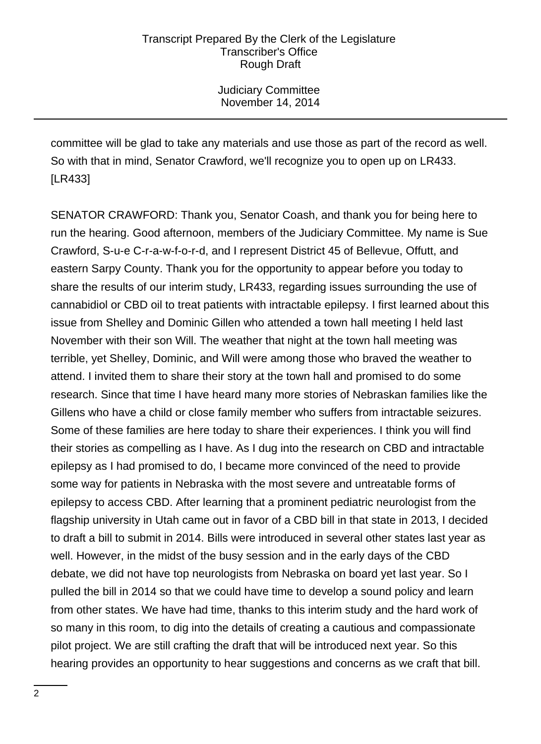Judiciary Committee November 14, 2014

committee will be glad to take any materials and use those as part of the record as well. So with that in mind, Senator Crawford, we'll recognize you to open up on LR433. [LR433]

SENATOR CRAWFORD: Thank you, Senator Coash, and thank you for being here to run the hearing. Good afternoon, members of the Judiciary Committee. My name is Sue Crawford, S-u-e C-r-a-w-f-o-r-d, and I represent District 45 of Bellevue, Offutt, and eastern Sarpy County. Thank you for the opportunity to appear before you today to share the results of our interim study, LR433, regarding issues surrounding the use of cannabidiol or CBD oil to treat patients with intractable epilepsy. I first learned about this issue from Shelley and Dominic Gillen who attended a town hall meeting I held last November with their son Will. The weather that night at the town hall meeting was terrible, yet Shelley, Dominic, and Will were among those who braved the weather to attend. I invited them to share their story at the town hall and promised to do some research. Since that time I have heard many more stories of Nebraskan families like the Gillens who have a child or close family member who suffers from intractable seizures. Some of these families are here today to share their experiences. I think you will find their stories as compelling as I have. As I dug into the research on CBD and intractable epilepsy as I had promised to do, I became more convinced of the need to provide some way for patients in Nebraska with the most severe and untreatable forms of epilepsy to access CBD. After learning that a prominent pediatric neurologist from the flagship university in Utah came out in favor of a CBD bill in that state in 2013, I decided to draft a bill to submit in 2014. Bills were introduced in several other states last year as well. However, in the midst of the busy session and in the early days of the CBD debate, we did not have top neurologists from Nebraska on board yet last year. So I pulled the bill in 2014 so that we could have time to develop a sound policy and learn from other states. We have had time, thanks to this interim study and the hard work of so many in this room, to dig into the details of creating a cautious and compassionate pilot project. We are still crafting the draft that will be introduced next year. So this hearing provides an opportunity to hear suggestions and concerns as we craft that bill.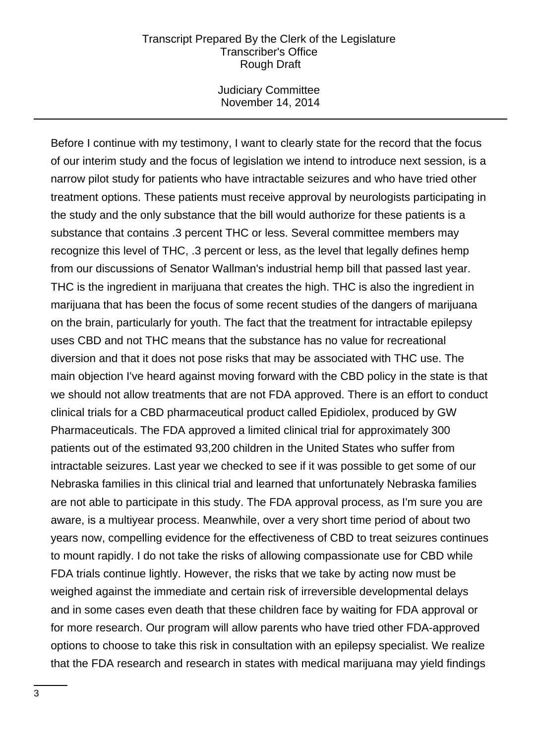Judiciary Committee November 14, 2014

Before I continue with my testimony, I want to clearly state for the record that the focus of our interim study and the focus of legislation we intend to introduce next session, is a narrow pilot study for patients who have intractable seizures and who have tried other treatment options. These patients must receive approval by neurologists participating in the study and the only substance that the bill would authorize for these patients is a substance that contains .3 percent THC or less. Several committee members may recognize this level of THC, .3 percent or less, as the level that legally defines hemp from our discussions of Senator Wallman's industrial hemp bill that passed last year. THC is the ingredient in marijuana that creates the high. THC is also the ingredient in marijuana that has been the focus of some recent studies of the dangers of marijuana on the brain, particularly for youth. The fact that the treatment for intractable epilepsy uses CBD and not THC means that the substance has no value for recreational diversion and that it does not pose risks that may be associated with THC use. The main objection I've heard against moving forward with the CBD policy in the state is that we should not allow treatments that are not FDA approved. There is an effort to conduct clinical trials for a CBD pharmaceutical product called Epidiolex, produced by GW Pharmaceuticals. The FDA approved a limited clinical trial for approximately 300 patients out of the estimated 93,200 children in the United States who suffer from intractable seizures. Last year we checked to see if it was possible to get some of our Nebraska families in this clinical trial and learned that unfortunately Nebraska families are not able to participate in this study. The FDA approval process, as I'm sure you are aware, is a multiyear process. Meanwhile, over a very short time period of about two years now, compelling evidence for the effectiveness of CBD to treat seizures continues to mount rapidly. I do not take the risks of allowing compassionate use for CBD while FDA trials continue lightly. However, the risks that we take by acting now must be weighed against the immediate and certain risk of irreversible developmental delays and in some cases even death that these children face by waiting for FDA approval or for more research. Our program will allow parents who have tried other FDA-approved options to choose to take this risk in consultation with an epilepsy specialist. We realize that the FDA research and research in states with medical marijuana may yield findings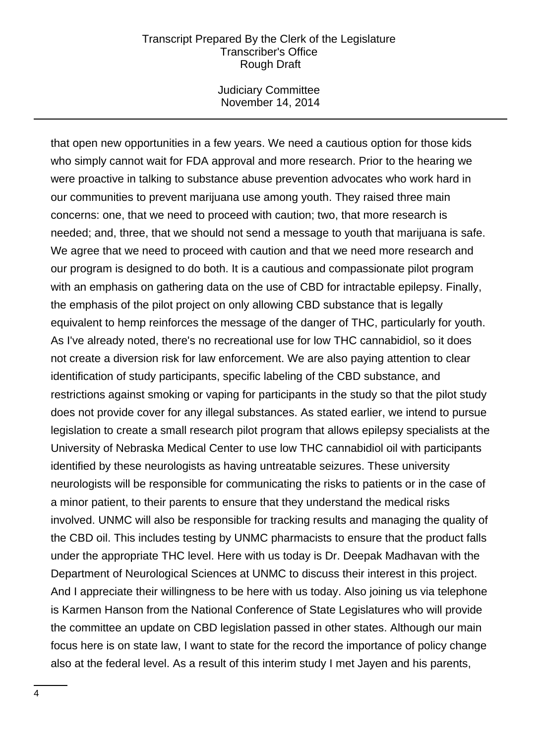Judiciary Committee November 14, 2014

that open new opportunities in a few years. We need a cautious option for those kids who simply cannot wait for FDA approval and more research. Prior to the hearing we were proactive in talking to substance abuse prevention advocates who work hard in our communities to prevent marijuana use among youth. They raised three main concerns: one, that we need to proceed with caution; two, that more research is needed; and, three, that we should not send a message to youth that marijuana is safe. We agree that we need to proceed with caution and that we need more research and our program is designed to do both. It is a cautious and compassionate pilot program with an emphasis on gathering data on the use of CBD for intractable epilepsy. Finally, the emphasis of the pilot project on only allowing CBD substance that is legally equivalent to hemp reinforces the message of the danger of THC, particularly for youth. As I've already noted, there's no recreational use for low THC cannabidiol, so it does not create a diversion risk for law enforcement. We are also paying attention to clear identification of study participants, specific labeling of the CBD substance, and restrictions against smoking or vaping for participants in the study so that the pilot study does not provide cover for any illegal substances. As stated earlier, we intend to pursue legislation to create a small research pilot program that allows epilepsy specialists at the University of Nebraska Medical Center to use low THC cannabidiol oil with participants identified by these neurologists as having untreatable seizures. These university neurologists will be responsible for communicating the risks to patients or in the case of a minor patient, to their parents to ensure that they understand the medical risks involved. UNMC will also be responsible for tracking results and managing the quality of the CBD oil. This includes testing by UNMC pharmacists to ensure that the product falls under the appropriate THC level. Here with us today is Dr. Deepak Madhavan with the Department of Neurological Sciences at UNMC to discuss their interest in this project. And I appreciate their willingness to be here with us today. Also joining us via telephone is Karmen Hanson from the National Conference of State Legislatures who will provide the committee an update on CBD legislation passed in other states. Although our main focus here is on state law, I want to state for the record the importance of policy change also at the federal level. As a result of this interim study I met Jayen and his parents,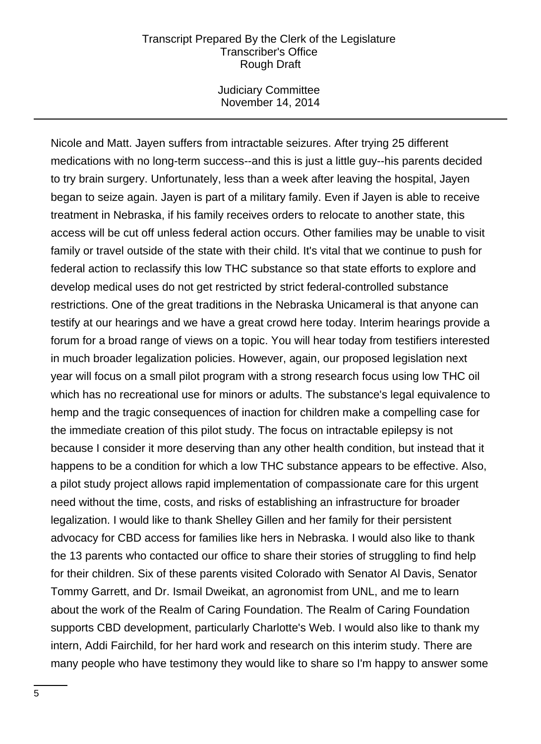Judiciary Committee November 14, 2014

Nicole and Matt. Jayen suffers from intractable seizures. After trying 25 different medications with no long-term success--and this is just a little guy--his parents decided to try brain surgery. Unfortunately, less than a week after leaving the hospital, Jayen began to seize again. Jayen is part of a military family. Even if Jayen is able to receive treatment in Nebraska, if his family receives orders to relocate to another state, this access will be cut off unless federal action occurs. Other families may be unable to visit family or travel outside of the state with their child. It's vital that we continue to push for federal action to reclassify this low THC substance so that state efforts to explore and develop medical uses do not get restricted by strict federal-controlled substance restrictions. One of the great traditions in the Nebraska Unicameral is that anyone can testify at our hearings and we have a great crowd here today. Interim hearings provide a forum for a broad range of views on a topic. You will hear today from testifiers interested in much broader legalization policies. However, again, our proposed legislation next year will focus on a small pilot program with a strong research focus using low THC oil which has no recreational use for minors or adults. The substance's legal equivalence to hemp and the tragic consequences of inaction for children make a compelling case for the immediate creation of this pilot study. The focus on intractable epilepsy is not because I consider it more deserving than any other health condition, but instead that it happens to be a condition for which a low THC substance appears to be effective. Also, a pilot study project allows rapid implementation of compassionate care for this urgent need without the time, costs, and risks of establishing an infrastructure for broader legalization. I would like to thank Shelley Gillen and her family for their persistent advocacy for CBD access for families like hers in Nebraska. I would also like to thank the 13 parents who contacted our office to share their stories of struggling to find help for their children. Six of these parents visited Colorado with Senator Al Davis, Senator Tommy Garrett, and Dr. Ismail Dweikat, an agronomist from UNL, and me to learn about the work of the Realm of Caring Foundation. The Realm of Caring Foundation supports CBD development, particularly Charlotte's Web. I would also like to thank my intern, Addi Fairchild, for her hard work and research on this interim study. There are many people who have testimony they would like to share so I'm happy to answer some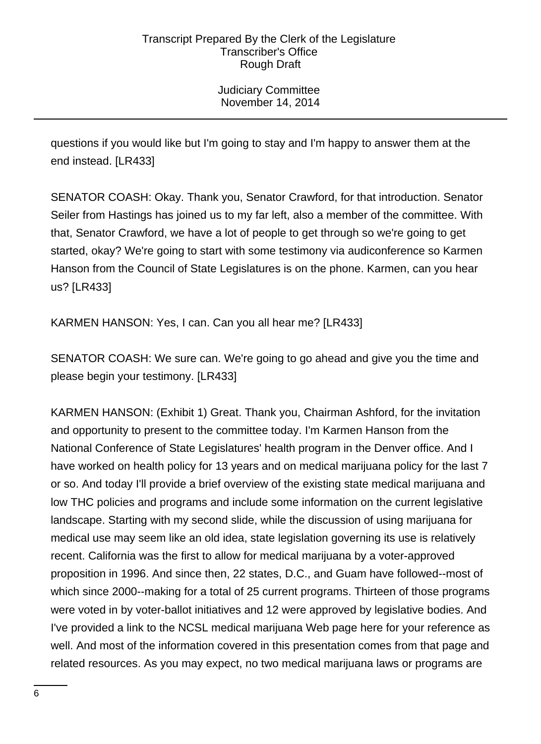Judiciary Committee November 14, 2014

questions if you would like but I'm going to stay and I'm happy to answer them at the end instead. [LR433]

SENATOR COASH: Okay. Thank you, Senator Crawford, for that introduction. Senator Seiler from Hastings has joined us to my far left, also a member of the committee. With that, Senator Crawford, we have a lot of people to get through so we're going to get started, okay? We're going to start with some testimony via audiconference so Karmen Hanson from the Council of State Legislatures is on the phone. Karmen, can you hear us? [LR433]

KARMEN HANSON: Yes, I can. Can you all hear me? [LR433]

SENATOR COASH: We sure can. We're going to go ahead and give you the time and please begin your testimony. [LR433]

KARMEN HANSON: (Exhibit 1) Great. Thank you, Chairman Ashford, for the invitation and opportunity to present to the committee today. I'm Karmen Hanson from the National Conference of State Legislatures' health program in the Denver office. And I have worked on health policy for 13 years and on medical marijuana policy for the last 7 or so. And today I'll provide a brief overview of the existing state medical marijuana and low THC policies and programs and include some information on the current legislative landscape. Starting with my second slide, while the discussion of using marijuana for medical use may seem like an old idea, state legislation governing its use is relatively recent. California was the first to allow for medical marijuana by a voter-approved proposition in 1996. And since then, 22 states, D.C., and Guam have followed--most of which since 2000--making for a total of 25 current programs. Thirteen of those programs were voted in by voter-ballot initiatives and 12 were approved by legislative bodies. And I've provided a link to the NCSL medical marijuana Web page here for your reference as well. And most of the information covered in this presentation comes from that page and related resources. As you may expect, no two medical marijuana laws or programs are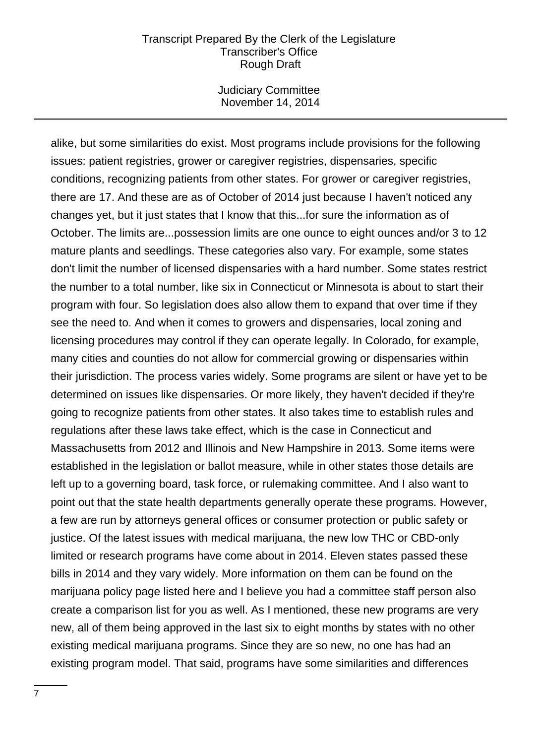Judiciary Committee November 14, 2014

alike, but some similarities do exist. Most programs include provisions for the following issues: patient registries, grower or caregiver registries, dispensaries, specific conditions, recognizing patients from other states. For grower or caregiver registries, there are 17. And these are as of October of 2014 just because I haven't noticed any changes yet, but it just states that I know that this...for sure the information as of October. The limits are...possession limits are one ounce to eight ounces and/or 3 to 12 mature plants and seedlings. These categories also vary. For example, some states don't limit the number of licensed dispensaries with a hard number. Some states restrict the number to a total number, like six in Connecticut or Minnesota is about to start their program with four. So legislation does also allow them to expand that over time if they see the need to. And when it comes to growers and dispensaries, local zoning and licensing procedures may control if they can operate legally. In Colorado, for example, many cities and counties do not allow for commercial growing or dispensaries within their jurisdiction. The process varies widely. Some programs are silent or have yet to be determined on issues like dispensaries. Or more likely, they haven't decided if they're going to recognize patients from other states. It also takes time to establish rules and regulations after these laws take effect, which is the case in Connecticut and Massachusetts from 2012 and Illinois and New Hampshire in 2013. Some items were established in the legislation or ballot measure, while in other states those details are left up to a governing board, task force, or rulemaking committee. And I also want to point out that the state health departments generally operate these programs. However, a few are run by attorneys general offices or consumer protection or public safety or justice. Of the latest issues with medical marijuana, the new low THC or CBD-only limited or research programs have come about in 2014. Eleven states passed these bills in 2014 and they vary widely. More information on them can be found on the marijuana policy page listed here and I believe you had a committee staff person also create a comparison list for you as well. As I mentioned, these new programs are very new, all of them being approved in the last six to eight months by states with no other existing medical marijuana programs. Since they are so new, no one has had an existing program model. That said, programs have some similarities and differences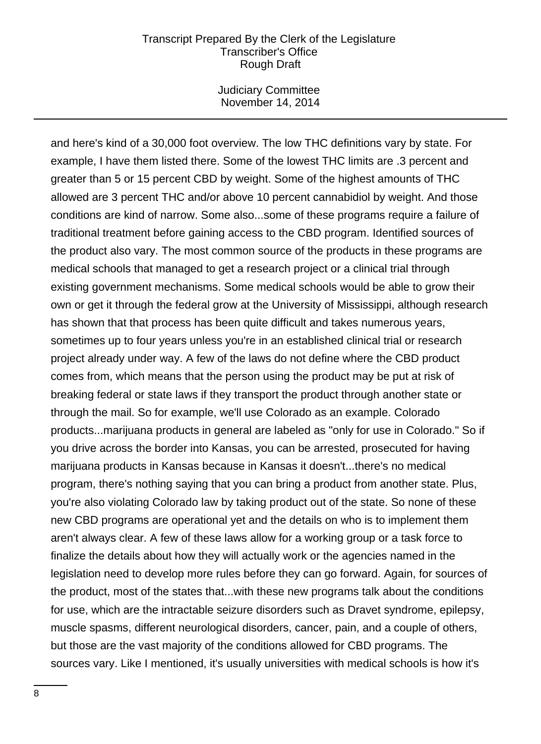Judiciary Committee November 14, 2014

and here's kind of a 30,000 foot overview. The low THC definitions vary by state. For example, I have them listed there. Some of the lowest THC limits are .3 percent and greater than 5 or 15 percent CBD by weight. Some of the highest amounts of THC allowed are 3 percent THC and/or above 10 percent cannabidiol by weight. And those conditions are kind of narrow. Some also...some of these programs require a failure of traditional treatment before gaining access to the CBD program. Identified sources of the product also vary. The most common source of the products in these programs are medical schools that managed to get a research project or a clinical trial through existing government mechanisms. Some medical schools would be able to grow their own or get it through the federal grow at the University of Mississippi, although research has shown that that process has been quite difficult and takes numerous years, sometimes up to four years unless you're in an established clinical trial or research project already under way. A few of the laws do not define where the CBD product comes from, which means that the person using the product may be put at risk of breaking federal or state laws if they transport the product through another state or through the mail. So for example, we'll use Colorado as an example. Colorado products...marijuana products in general are labeled as "only for use in Colorado." So if you drive across the border into Kansas, you can be arrested, prosecuted for having marijuana products in Kansas because in Kansas it doesn't...there's no medical program, there's nothing saying that you can bring a product from another state. Plus, you're also violating Colorado law by taking product out of the state. So none of these new CBD programs are operational yet and the details on who is to implement them aren't always clear. A few of these laws allow for a working group or a task force to finalize the details about how they will actually work or the agencies named in the legislation need to develop more rules before they can go forward. Again, for sources of the product, most of the states that...with these new programs talk about the conditions for use, which are the intractable seizure disorders such as Dravet syndrome, epilepsy, muscle spasms, different neurological disorders, cancer, pain, and a couple of others, but those are the vast majority of the conditions allowed for CBD programs. The sources vary. Like I mentioned, it's usually universities with medical schools is how it's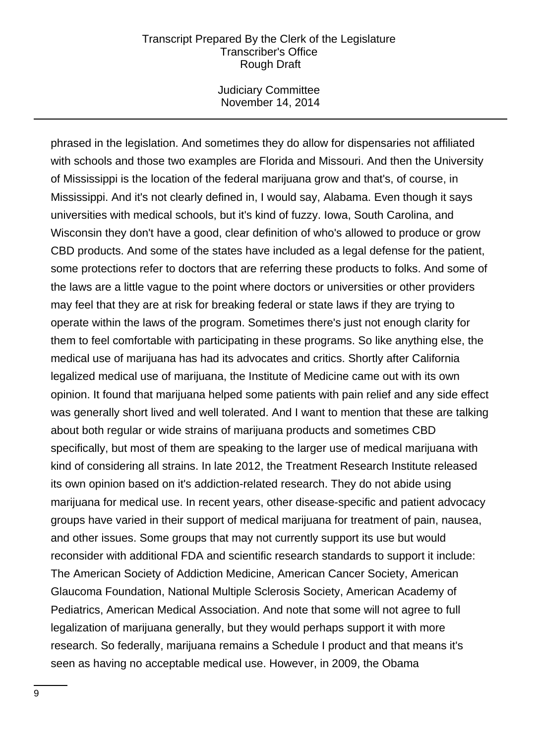Judiciary Committee November 14, 2014

phrased in the legislation. And sometimes they do allow for dispensaries not affiliated with schools and those two examples are Florida and Missouri. And then the University of Mississippi is the location of the federal marijuana grow and that's, of course, in Mississippi. And it's not clearly defined in, I would say, Alabama. Even though it says universities with medical schools, but it's kind of fuzzy. Iowa, South Carolina, and Wisconsin they don't have a good, clear definition of who's allowed to produce or grow CBD products. And some of the states have included as a legal defense for the patient, some protections refer to doctors that are referring these products to folks. And some of the laws are a little vague to the point where doctors or universities or other providers may feel that they are at risk for breaking federal or state laws if they are trying to operate within the laws of the program. Sometimes there's just not enough clarity for them to feel comfortable with participating in these programs. So like anything else, the medical use of marijuana has had its advocates and critics. Shortly after California legalized medical use of marijuana, the Institute of Medicine came out with its own opinion. It found that marijuana helped some patients with pain relief and any side effect was generally short lived and well tolerated. And I want to mention that these are talking about both regular or wide strains of marijuana products and sometimes CBD specifically, but most of them are speaking to the larger use of medical marijuana with kind of considering all strains. In late 2012, the Treatment Research Institute released its own opinion based on it's addiction-related research. They do not abide using marijuana for medical use. In recent years, other disease-specific and patient advocacy groups have varied in their support of medical marijuana for treatment of pain, nausea, and other issues. Some groups that may not currently support its use but would reconsider with additional FDA and scientific research standards to support it include: The American Society of Addiction Medicine, American Cancer Society, American Glaucoma Foundation, National Multiple Sclerosis Society, American Academy of Pediatrics, American Medical Association. And note that some will not agree to full legalization of marijuana generally, but they would perhaps support it with more research. So federally, marijuana remains a Schedule I product and that means it's seen as having no acceptable medical use. However, in 2009, the Obama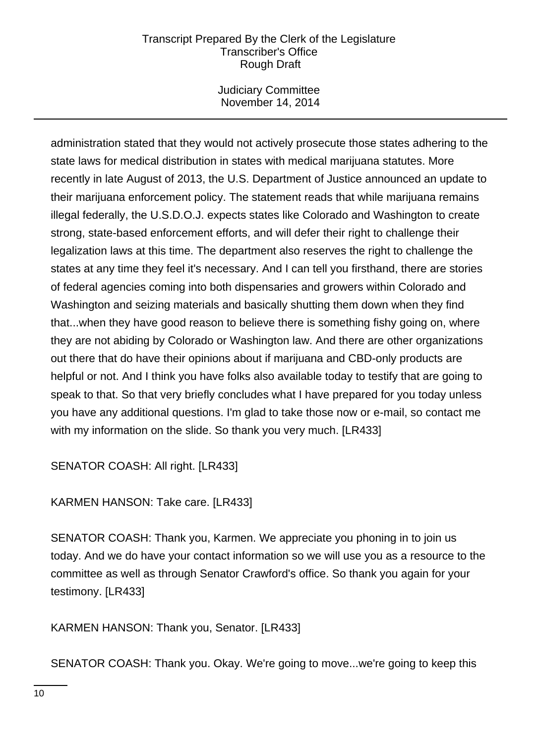Judiciary Committee November 14, 2014

administration stated that they would not actively prosecute those states adhering to the state laws for medical distribution in states with medical marijuana statutes. More recently in late August of 2013, the U.S. Department of Justice announced an update to their marijuana enforcement policy. The statement reads that while marijuana remains illegal federally, the U.S.D.O.J. expects states like Colorado and Washington to create strong, state-based enforcement efforts, and will defer their right to challenge their legalization laws at this time. The department also reserves the right to challenge the states at any time they feel it's necessary. And I can tell you firsthand, there are stories of federal agencies coming into both dispensaries and growers within Colorado and Washington and seizing materials and basically shutting them down when they find that...when they have good reason to believe there is something fishy going on, where they are not abiding by Colorado or Washington law. And there are other organizations out there that do have their opinions about if marijuana and CBD-only products are helpful or not. And I think you have folks also available today to testify that are going to speak to that. So that very briefly concludes what I have prepared for you today unless you have any additional questions. I'm glad to take those now or e-mail, so contact me with my information on the slide. So thank you very much. [LR433]

SENATOR COASH: All right. [LR433]

KARMEN HANSON: Take care. [LR433]

SENATOR COASH: Thank you, Karmen. We appreciate you phoning in to join us today. And we do have your contact information so we will use you as a resource to the committee as well as through Senator Crawford's office. So thank you again for your testimony. [LR433]

KARMEN HANSON: Thank you, Senator. [LR433]

SENATOR COASH: Thank you. Okay. We're going to move...we're going to keep this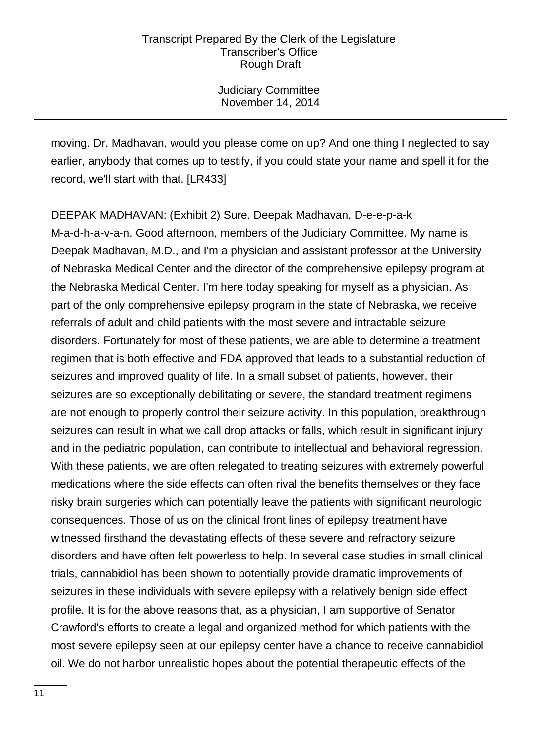Judiciary Committee November 14, 2014

moving. Dr. Madhavan, would you please come on up? And one thing I neglected to say earlier, anybody that comes up to testify, if you could state your name and spell it for the record, we'll start with that. [LR433]

DEEPAK MADHAVAN: (Exhibit 2) Sure. Deepak Madhavan, D-e-e-p-a-k M-a-d-h-a-v-a-n. Good afternoon, members of the Judiciary Committee. My name is Deepak Madhavan, M.D., and I'm a physician and assistant professor at the University of Nebraska Medical Center and the director of the comprehensive epilepsy program at the Nebraska Medical Center. I'm here today speaking for myself as a physician. As part of the only comprehensive epilepsy program in the state of Nebraska, we receive referrals of adult and child patients with the most severe and intractable seizure disorders. Fortunately for most of these patients, we are able to determine a treatment regimen that is both effective and FDA approved that leads to a substantial reduction of seizures and improved quality of life. In a small subset of patients, however, their seizures are so exceptionally debilitating or severe, the standard treatment regimens are not enough to properly control their seizure activity. In this population, breakthrough seizures can result in what we call drop attacks or falls, which result in significant injury and in the pediatric population, can contribute to intellectual and behavioral regression. With these patients, we are often relegated to treating seizures with extremely powerful medications where the side effects can often rival the benefits themselves or they face risky brain surgeries which can potentially leave the patients with significant neurologic consequences. Those of us on the clinical front lines of epilepsy treatment have witnessed firsthand the devastating effects of these severe and refractory seizure disorders and have often felt powerless to help. In several case studies in small clinical trials, cannabidiol has been shown to potentially provide dramatic improvements of seizures in these individuals with severe epilepsy with a relatively benign side effect profile. It is for the above reasons that, as a physician, I am supportive of Senator Crawford's efforts to create a legal and organized method for which patients with the most severe epilepsy seen at our epilepsy center have a chance to receive cannabidiol oil. We do not harbor unrealistic hopes about the potential therapeutic effects of the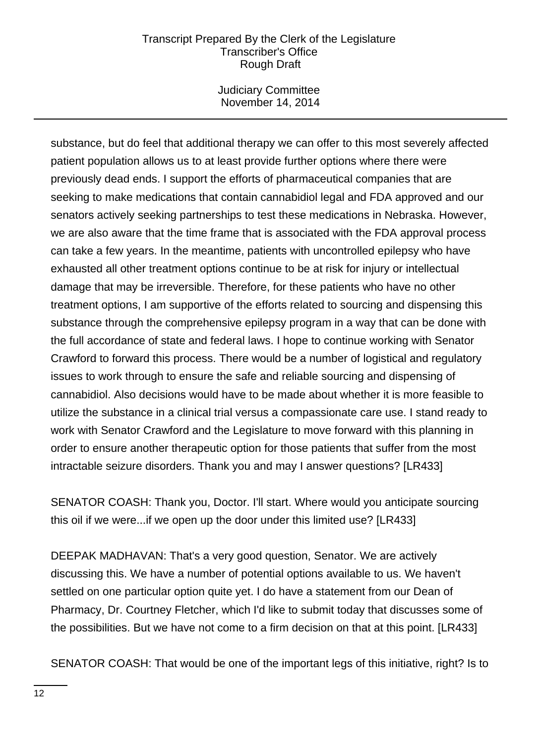Judiciary Committee November 14, 2014

substance, but do feel that additional therapy we can offer to this most severely affected patient population allows us to at least provide further options where there were previously dead ends. I support the efforts of pharmaceutical companies that are seeking to make medications that contain cannabidiol legal and FDA approved and our senators actively seeking partnerships to test these medications in Nebraska. However, we are also aware that the time frame that is associated with the FDA approval process can take a few years. In the meantime, patients with uncontrolled epilepsy who have exhausted all other treatment options continue to be at risk for injury or intellectual damage that may be irreversible. Therefore, for these patients who have no other treatment options, I am supportive of the efforts related to sourcing and dispensing this substance through the comprehensive epilepsy program in a way that can be done with the full accordance of state and federal laws. I hope to continue working with Senator Crawford to forward this process. There would be a number of logistical and regulatory issues to work through to ensure the safe and reliable sourcing and dispensing of cannabidiol. Also decisions would have to be made about whether it is more feasible to utilize the substance in a clinical trial versus a compassionate care use. I stand ready to work with Senator Crawford and the Legislature to move forward with this planning in order to ensure another therapeutic option for those patients that suffer from the most intractable seizure disorders. Thank you and may I answer questions? [LR433]

SENATOR COASH: Thank you, Doctor. I'll start. Where would you anticipate sourcing this oil if we were...if we open up the door under this limited use? [LR433]

DEEPAK MADHAVAN: That's a very good question, Senator. We are actively discussing this. We have a number of potential options available to us. We haven't settled on one particular option quite yet. I do have a statement from our Dean of Pharmacy, Dr. Courtney Fletcher, which I'd like to submit today that discusses some of the possibilities. But we have not come to a firm decision on that at this point. [LR433]

SENATOR COASH: That would be one of the important legs of this initiative, right? Is to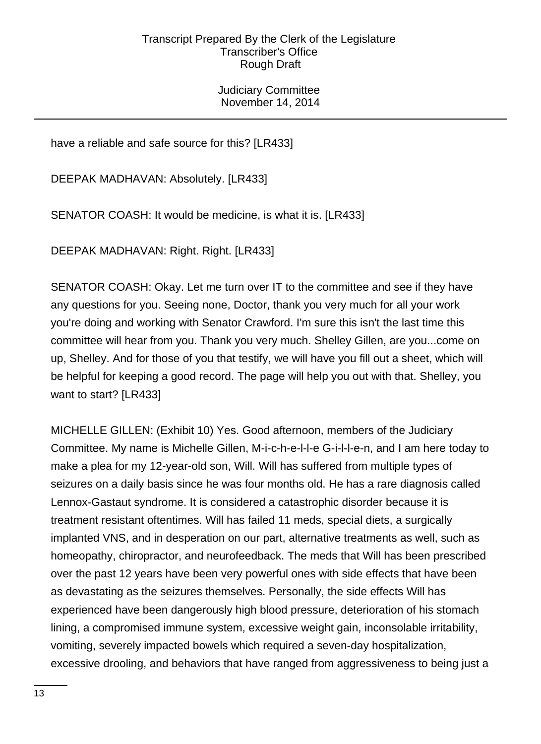Judiciary Committee November 14, 2014

have a reliable and safe source for this? [LR433]

DEEPAK MADHAVAN: Absolutely. [LR433]

SENATOR COASH: It would be medicine, is what it is. [LR433]

DEEPAK MADHAVAN: Right. Right. [LR433]

SENATOR COASH: Okay. Let me turn over IT to the committee and see if they have any questions for you. Seeing none, Doctor, thank you very much for all your work you're doing and working with Senator Crawford. I'm sure this isn't the last time this committee will hear from you. Thank you very much. Shelley Gillen, are you...come on up, Shelley. And for those of you that testify, we will have you fill out a sheet, which will be helpful for keeping a good record. The page will help you out with that. Shelley, you want to start? [LR433]

MICHELLE GILLEN: (Exhibit 10) Yes. Good afternoon, members of the Judiciary Committee. My name is Michelle Gillen, M-i-c-h-e-l-l-e G-i-l-l-e-n, and I am here today to make a plea for my 12-year-old son, Will. Will has suffered from multiple types of seizures on a daily basis since he was four months old. He has a rare diagnosis called Lennox-Gastaut syndrome. It is considered a catastrophic disorder because it is treatment resistant oftentimes. Will has failed 11 meds, special diets, a surgically implanted VNS, and in desperation on our part, alternative treatments as well, such as homeopathy, chiropractor, and neurofeedback. The meds that Will has been prescribed over the past 12 years have been very powerful ones with side effects that have been as devastating as the seizures themselves. Personally, the side effects Will has experienced have been dangerously high blood pressure, deterioration of his stomach lining, a compromised immune system, excessive weight gain, inconsolable irritability, vomiting, severely impacted bowels which required a seven-day hospitalization, excessive drooling, and behaviors that have ranged from aggressiveness to being just a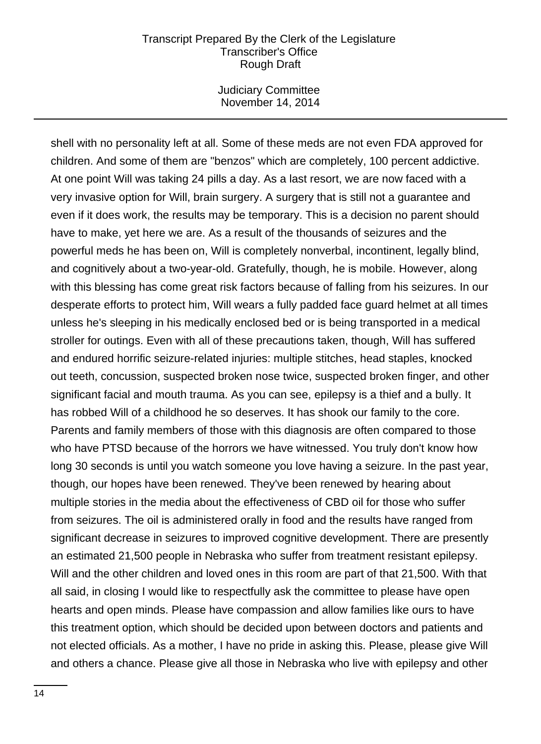Judiciary Committee November 14, 2014

shell with no personality left at all. Some of these meds are not even FDA approved for children. And some of them are "benzos" which are completely, 100 percent addictive. At one point Will was taking 24 pills a day. As a last resort, we are now faced with a very invasive option for Will, brain surgery. A surgery that is still not a guarantee and even if it does work, the results may be temporary. This is a decision no parent should have to make, yet here we are. As a result of the thousands of seizures and the powerful meds he has been on, Will is completely nonverbal, incontinent, legally blind, and cognitively about a two-year-old. Gratefully, though, he is mobile. However, along with this blessing has come great risk factors because of falling from his seizures. In our desperate efforts to protect him, Will wears a fully padded face guard helmet at all times unless he's sleeping in his medically enclosed bed or is being transported in a medical stroller for outings. Even with all of these precautions taken, though, Will has suffered and endured horrific seizure-related injuries: multiple stitches, head staples, knocked out teeth, concussion, suspected broken nose twice, suspected broken finger, and other significant facial and mouth trauma. As you can see, epilepsy is a thief and a bully. It has robbed Will of a childhood he so deserves. It has shook our family to the core. Parents and family members of those with this diagnosis are often compared to those who have PTSD because of the horrors we have witnessed. You truly don't know how long 30 seconds is until you watch someone you love having a seizure. In the past year, though, our hopes have been renewed. They've been renewed by hearing about multiple stories in the media about the effectiveness of CBD oil for those who suffer from seizures. The oil is administered orally in food and the results have ranged from significant decrease in seizures to improved cognitive development. There are presently an estimated 21,500 people in Nebraska who suffer from treatment resistant epilepsy. Will and the other children and loved ones in this room are part of that 21,500. With that all said, in closing I would like to respectfully ask the committee to please have open hearts and open minds. Please have compassion and allow families like ours to have this treatment option, which should be decided upon between doctors and patients and not elected officials. As a mother, I have no pride in asking this. Please, please give Will and others a chance. Please give all those in Nebraska who live with epilepsy and other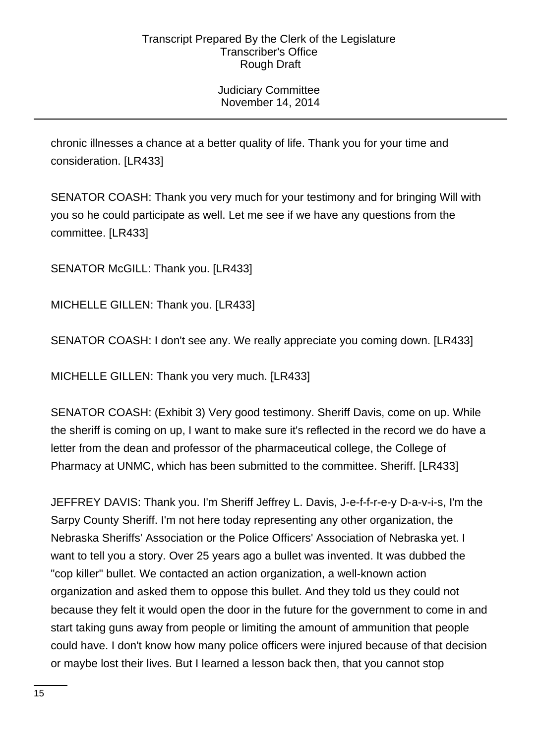Judiciary Committee November 14, 2014

chronic illnesses a chance at a better quality of life. Thank you for your time and consideration. [LR433]

SENATOR COASH: Thank you very much for your testimony and for bringing Will with you so he could participate as well. Let me see if we have any questions from the committee. [LR433]

SENATOR McGILL: Thank you. [LR433]

MICHELLE GILLEN: Thank you. [LR433]

SENATOR COASH: I don't see any. We really appreciate you coming down. [LR433]

MICHELLE GILLEN: Thank you very much. [LR433]

SENATOR COASH: (Exhibit 3) Very good testimony. Sheriff Davis, come on up. While the sheriff is coming on up, I want to make sure it's reflected in the record we do have a letter from the dean and professor of the pharmaceutical college, the College of Pharmacy at UNMC, which has been submitted to the committee. Sheriff. [LR433]

JEFFREY DAVIS: Thank you. I'm Sheriff Jeffrey L. Davis, J-e-f-f-r-e-y D-a-v-i-s, I'm the Sarpy County Sheriff. I'm not here today representing any other organization, the Nebraska Sheriffs' Association or the Police Officers' Association of Nebraska yet. I want to tell you a story. Over 25 years ago a bullet was invented. It was dubbed the "cop killer" bullet. We contacted an action organization, a well-known action organization and asked them to oppose this bullet. And they told us they could not because they felt it would open the door in the future for the government to come in and start taking guns away from people or limiting the amount of ammunition that people could have. I don't know how many police officers were injured because of that decision or maybe lost their lives. But I learned a lesson back then, that you cannot stop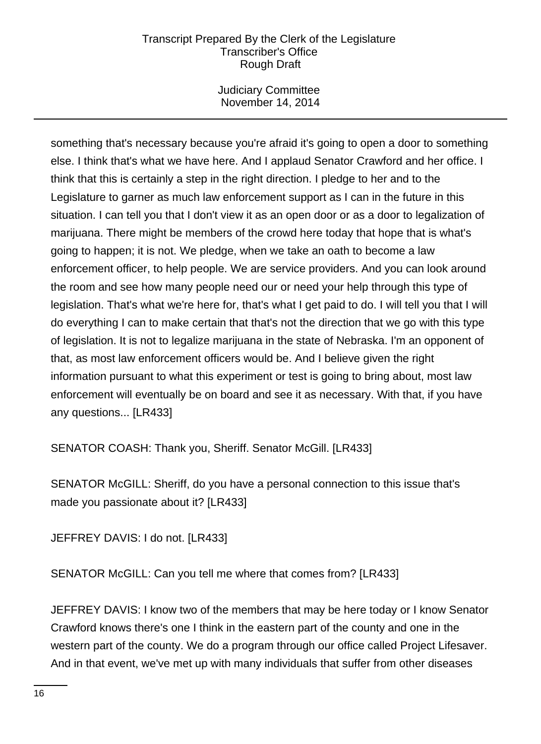Judiciary Committee November 14, 2014

something that's necessary because you're afraid it's going to open a door to something else. I think that's what we have here. And I applaud Senator Crawford and her office. I think that this is certainly a step in the right direction. I pledge to her and to the Legislature to garner as much law enforcement support as I can in the future in this situation. I can tell you that I don't view it as an open door or as a door to legalization of marijuana. There might be members of the crowd here today that hope that is what's going to happen; it is not. We pledge, when we take an oath to become a law enforcement officer, to help people. We are service providers. And you can look around the room and see how many people need our or need your help through this type of legislation. That's what we're here for, that's what I get paid to do. I will tell you that I will do everything I can to make certain that that's not the direction that we go with this type of legislation. It is not to legalize marijuana in the state of Nebraska. I'm an opponent of that, as most law enforcement officers would be. And I believe given the right information pursuant to what this experiment or test is going to bring about, most law enforcement will eventually be on board and see it as necessary. With that, if you have any questions... [LR433]

SENATOR COASH: Thank you, Sheriff. Senator McGill. [LR433]

SENATOR McGILL: Sheriff, do you have a personal connection to this issue that's made you passionate about it? [LR433]

JEFFREY DAVIS: I do not. [LR433]

SENATOR McGILL: Can you tell me where that comes from? [LR433]

JEFFREY DAVIS: I know two of the members that may be here today or I know Senator Crawford knows there's one I think in the eastern part of the county and one in the western part of the county. We do a program through our office called Project Lifesaver. And in that event, we've met up with many individuals that suffer from other diseases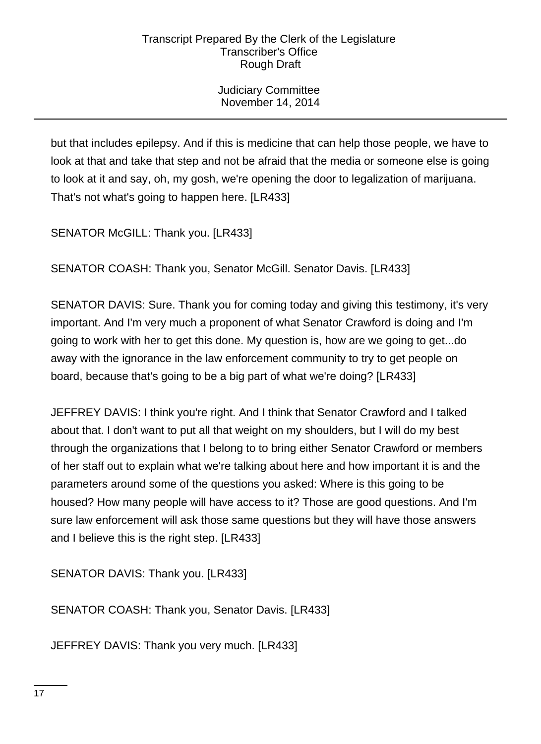Judiciary Committee November 14, 2014

but that includes epilepsy. And if this is medicine that can help those people, we have to look at that and take that step and not be afraid that the media or someone else is going to look at it and say, oh, my gosh, we're opening the door to legalization of marijuana. That's not what's going to happen here. [LR433]

SENATOR McGILL: Thank you. [LR433]

SENATOR COASH: Thank you, Senator McGill. Senator Davis. [LR433]

SENATOR DAVIS: Sure. Thank you for coming today and giving this testimony, it's very important. And I'm very much a proponent of what Senator Crawford is doing and I'm going to work with her to get this done. My question is, how are we going to get...do away with the ignorance in the law enforcement community to try to get people on board, because that's going to be a big part of what we're doing? [LR433]

JEFFREY DAVIS: I think you're right. And I think that Senator Crawford and I talked about that. I don't want to put all that weight on my shoulders, but I will do my best through the organizations that I belong to to bring either Senator Crawford or members of her staff out to explain what we're talking about here and how important it is and the parameters around some of the questions you asked: Where is this going to be housed? How many people will have access to it? Those are good questions. And I'm sure law enforcement will ask those same questions but they will have those answers and I believe this is the right step. [LR433]

SENATOR DAVIS: Thank you. [LR433]

SENATOR COASH: Thank you, Senator Davis. [LR433]

JEFFREY DAVIS: Thank you very much. [LR433]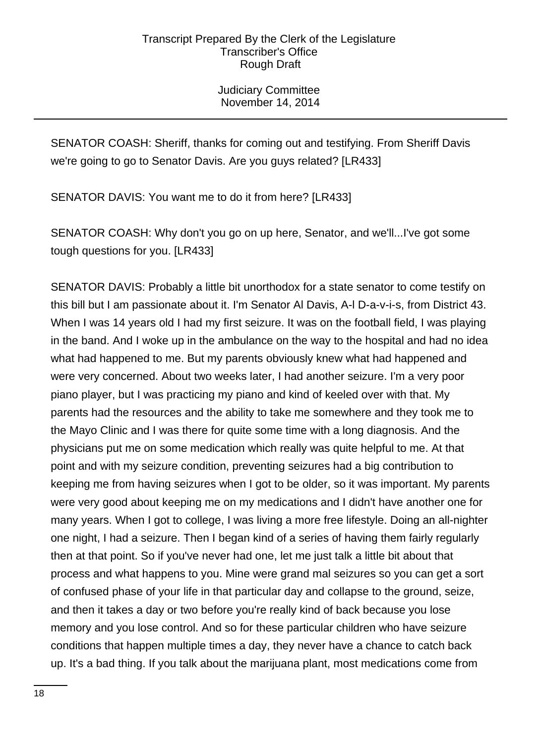Judiciary Committee November 14, 2014

SENATOR COASH: Sheriff, thanks for coming out and testifying. From Sheriff Davis we're going to go to Senator Davis. Are you guys related? [LR433]

SENATOR DAVIS: You want me to do it from here? [LR433]

SENATOR COASH: Why don't you go on up here, Senator, and we'll...I've got some tough questions for you. [LR433]

SENATOR DAVIS: Probably a little bit unorthodox for a state senator to come testify on this bill but I am passionate about it. I'm Senator Al Davis, A-l D-a-v-i-s, from District 43. When I was 14 years old I had my first seizure. It was on the football field, I was playing in the band. And I woke up in the ambulance on the way to the hospital and had no idea what had happened to me. But my parents obviously knew what had happened and were very concerned. About two weeks later, I had another seizure. I'm a very poor piano player, but I was practicing my piano and kind of keeled over with that. My parents had the resources and the ability to take me somewhere and they took me to the Mayo Clinic and I was there for quite some time with a long diagnosis. And the physicians put me on some medication which really was quite helpful to me. At that point and with my seizure condition, preventing seizures had a big contribution to keeping me from having seizures when I got to be older, so it was important. My parents were very good about keeping me on my medications and I didn't have another one for many years. When I got to college, I was living a more free lifestyle. Doing an all-nighter one night, I had a seizure. Then I began kind of a series of having them fairly regularly then at that point. So if you've never had one, let me just talk a little bit about that process and what happens to you. Mine were grand mal seizures so you can get a sort of confused phase of your life in that particular day and collapse to the ground, seize, and then it takes a day or two before you're really kind of back because you lose memory and you lose control. And so for these particular children who have seizure conditions that happen multiple times a day, they never have a chance to catch back up. It's a bad thing. If you talk about the marijuana plant, most medications come from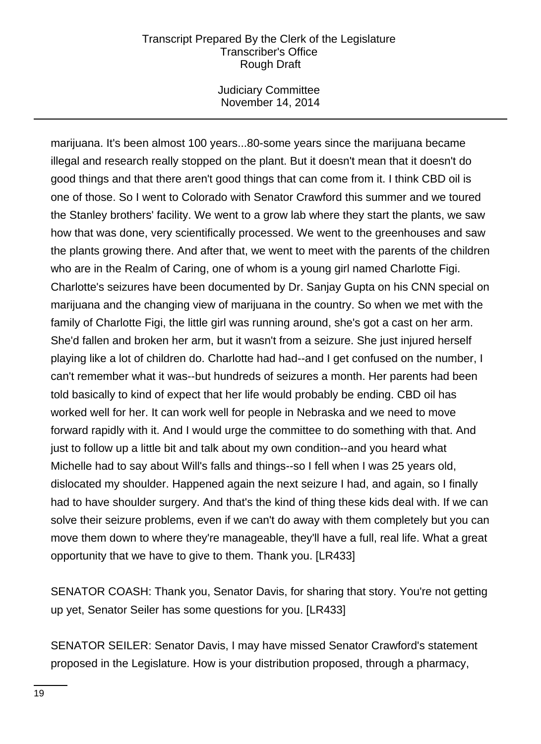Judiciary Committee November 14, 2014

marijuana. It's been almost 100 years...80-some years since the marijuana became illegal and research really stopped on the plant. But it doesn't mean that it doesn't do good things and that there aren't good things that can come from it. I think CBD oil is one of those. So I went to Colorado with Senator Crawford this summer and we toured the Stanley brothers' facility. We went to a grow lab where they start the plants, we saw how that was done, very scientifically processed. We went to the greenhouses and saw the plants growing there. And after that, we went to meet with the parents of the children who are in the Realm of Caring, one of whom is a young girl named Charlotte Figi. Charlotte's seizures have been documented by Dr. Sanjay Gupta on his CNN special on marijuana and the changing view of marijuana in the country. So when we met with the family of Charlotte Figi, the little girl was running around, she's got a cast on her arm. She'd fallen and broken her arm, but it wasn't from a seizure. She just injured herself playing like a lot of children do. Charlotte had had--and I get confused on the number, I can't remember what it was--but hundreds of seizures a month. Her parents had been told basically to kind of expect that her life would probably be ending. CBD oil has worked well for her. It can work well for people in Nebraska and we need to move forward rapidly with it. And I would urge the committee to do something with that. And just to follow up a little bit and talk about my own condition--and you heard what Michelle had to say about Will's falls and things--so I fell when I was 25 years old, dislocated my shoulder. Happened again the next seizure I had, and again, so I finally had to have shoulder surgery. And that's the kind of thing these kids deal with. If we can solve their seizure problems, even if we can't do away with them completely but you can move them down to where they're manageable, they'll have a full, real life. What a great opportunity that we have to give to them. Thank you. [LR433]

SENATOR COASH: Thank you, Senator Davis, for sharing that story. You're not getting up yet, Senator Seiler has some questions for you. [LR433]

SENATOR SEILER: Senator Davis, I may have missed Senator Crawford's statement proposed in the Legislature. How is your distribution proposed, through a pharmacy,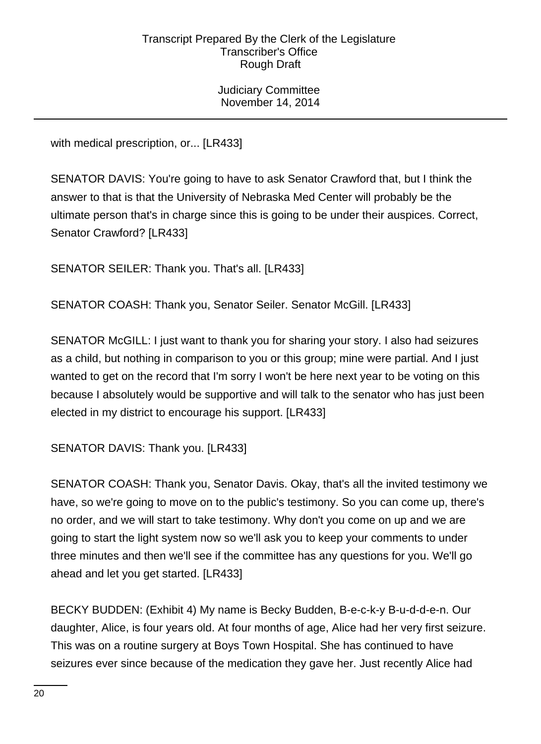Judiciary Committee November 14, 2014

with medical prescription, or... [LR433]

SENATOR DAVIS: You're going to have to ask Senator Crawford that, but I think the answer to that is that the University of Nebraska Med Center will probably be the ultimate person that's in charge since this is going to be under their auspices. Correct, Senator Crawford? [LR433]

SENATOR SEILER: Thank you. That's all. [LR433]

SENATOR COASH: Thank you, Senator Seiler. Senator McGill. [LR433]

SENATOR McGILL: I just want to thank you for sharing your story. I also had seizures as a child, but nothing in comparison to you or this group; mine were partial. And I just wanted to get on the record that I'm sorry I won't be here next year to be voting on this because I absolutely would be supportive and will talk to the senator who has just been elected in my district to encourage his support. [LR433]

SENATOR DAVIS: Thank you. [LR433]

SENATOR COASH: Thank you, Senator Davis. Okay, that's all the invited testimony we have, so we're going to move on to the public's testimony. So you can come up, there's no order, and we will start to take testimony. Why don't you come on up and we are going to start the light system now so we'll ask you to keep your comments to under three minutes and then we'll see if the committee has any questions for you. We'll go ahead and let you get started. [LR433]

BECKY BUDDEN: (Exhibit 4) My name is Becky Budden, B-e-c-k-y B-u-d-d-e-n. Our daughter, Alice, is four years old. At four months of age, Alice had her very first seizure. This was on a routine surgery at Boys Town Hospital. She has continued to have seizures ever since because of the medication they gave her. Just recently Alice had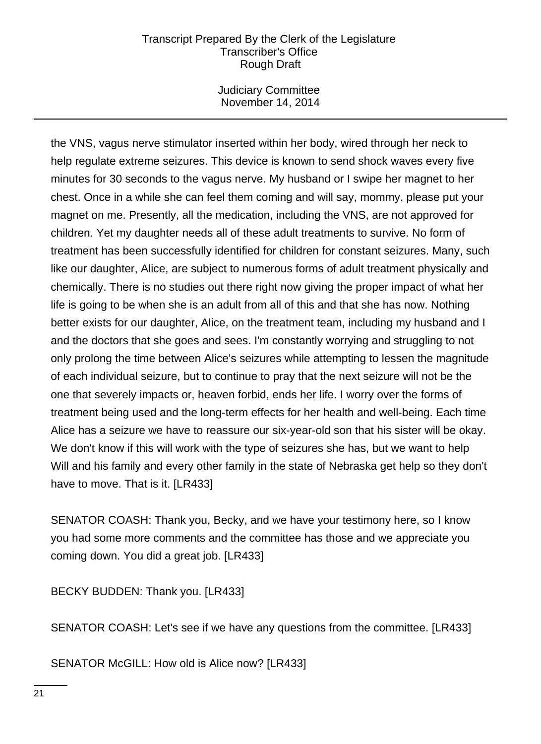Judiciary Committee November 14, 2014

the VNS, vagus nerve stimulator inserted within her body, wired through her neck to help regulate extreme seizures. This device is known to send shock waves every five minutes for 30 seconds to the vagus nerve. My husband or I swipe her magnet to her chest. Once in a while she can feel them coming and will say, mommy, please put your magnet on me. Presently, all the medication, including the VNS, are not approved for children. Yet my daughter needs all of these adult treatments to survive. No form of treatment has been successfully identified for children for constant seizures. Many, such like our daughter, Alice, are subject to numerous forms of adult treatment physically and chemically. There is no studies out there right now giving the proper impact of what her life is going to be when she is an adult from all of this and that she has now. Nothing better exists for our daughter, Alice, on the treatment team, including my husband and I and the doctors that she goes and sees. I'm constantly worrying and struggling to not only prolong the time between Alice's seizures while attempting to lessen the magnitude of each individual seizure, but to continue to pray that the next seizure will not be the one that severely impacts or, heaven forbid, ends her life. I worry over the forms of treatment being used and the long-term effects for her health and well-being. Each time Alice has a seizure we have to reassure our six-year-old son that his sister will be okay. We don't know if this will work with the type of seizures she has, but we want to help Will and his family and every other family in the state of Nebraska get help so they don't have to move. That is it. [LR433]

SENATOR COASH: Thank you, Becky, and we have your testimony here, so I know you had some more comments and the committee has those and we appreciate you coming down. You did a great job. [LR433]

BECKY BUDDEN: Thank you. [LR433]

SENATOR COASH: Let's see if we have any questions from the committee. [LR433]

SENATOR McGILL: How old is Alice now? [LR433]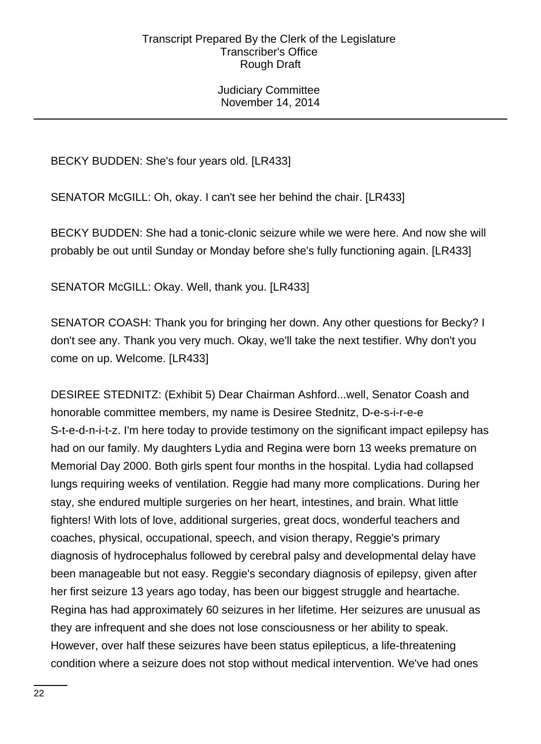Judiciary Committee November 14, 2014

BECKY BUDDEN: She's four years old. [LR433]

SENATOR McGILL: Oh, okay. I can't see her behind the chair. [LR433]

BECKY BUDDEN: She had a tonic-clonic seizure while we were here. And now she will probably be out until Sunday or Monday before she's fully functioning again. [LR433]

SENATOR McGILL: Okay. Well, thank you. [LR433]

SENATOR COASH: Thank you for bringing her down. Any other questions for Becky? I don't see any. Thank you very much. Okay, we'll take the next testifier. Why don't you come on up. Welcome. [LR433]

DESIREE STEDNITZ: (Exhibit 5) Dear Chairman Ashford...well, Senator Coash and honorable committee members, my name is Desiree Stednitz, D-e-s-i-r-e-e S-t-e-d-n-i-t-z. I'm here today to provide testimony on the significant impact epilepsy has had on our family. My daughters Lydia and Regina were born 13 weeks premature on Memorial Day 2000. Both girls spent four months in the hospital. Lydia had collapsed lungs requiring weeks of ventilation. Reggie had many more complications. During her stay, she endured multiple surgeries on her heart, intestines, and brain. What little fighters! With lots of love, additional surgeries, great docs, wonderful teachers and coaches, physical, occupational, speech, and vision therapy, Reggie's primary diagnosis of hydrocephalus followed by cerebral palsy and developmental delay have been manageable but not easy. Reggie's secondary diagnosis of epilepsy, given after her first seizure 13 years ago today, has been our biggest struggle and heartache. Regina has had approximately 60 seizures in her lifetime. Her seizures are unusual as they are infrequent and she does not lose consciousness or her ability to speak. However, over half these seizures have been status epilepticus, a life-threatening condition where a seizure does not stop without medical intervention. We've had ones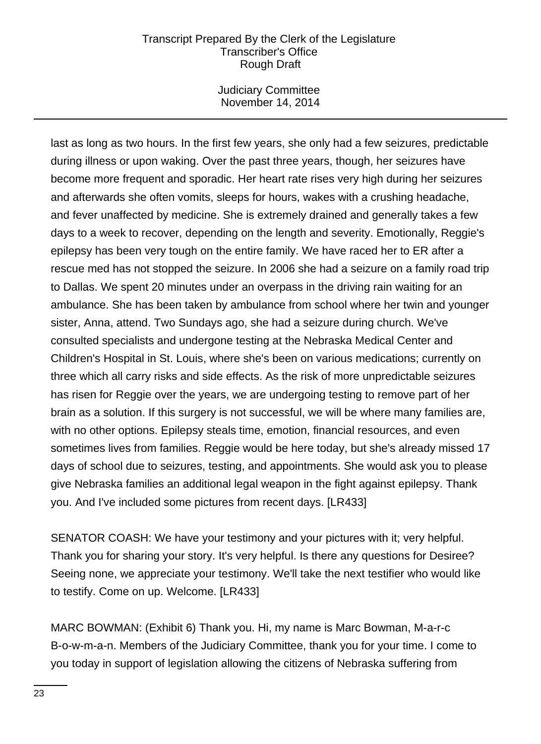Judiciary Committee November 14, 2014

last as long as two hours. In the first few years, she only had a few seizures, predictable during illness or upon waking. Over the past three years, though, her seizures have become more frequent and sporadic. Her heart rate rises very high during her seizures and afterwards she often vomits, sleeps for hours, wakes with a crushing headache, and fever unaffected by medicine. She is extremely drained and generally takes a few days to a week to recover, depending on the length and severity. Emotionally, Reggie's epilepsy has been very tough on the entire family. We have raced her to ER after a rescue med has not stopped the seizure. In 2006 she had a seizure on a family road trip to Dallas. We spent 20 minutes under an overpass in the driving rain waiting for an ambulance. She has been taken by ambulance from school where her twin and younger sister, Anna, attend. Two Sundays ago, she had a seizure during church. We've consulted specialists and undergone testing at the Nebraska Medical Center and Children's Hospital in St. Louis, where she's been on various medications; currently on three which all carry risks and side effects. As the risk of more unpredictable seizures has risen for Reggie over the years, we are undergoing testing to remove part of her brain as a solution. If this surgery is not successful, we will be where many families are, with no other options. Epilepsy steals time, emotion, financial resources, and even sometimes lives from families. Reggie would be here today, but she's already missed 17 days of school due to seizures, testing, and appointments. She would ask you to please give Nebraska families an additional legal weapon in the fight against epilepsy. Thank you. And I've included some pictures from recent days. [LR433]

SENATOR COASH: We have your testimony and your pictures with it; very helpful. Thank you for sharing your story. It's very helpful. Is there any questions for Desiree? Seeing none, we appreciate your testimony. We'll take the next testifier who would like to testify. Come on up. Welcome. [LR433]

MARC BOWMAN: (Exhibit 6) Thank you. Hi, my name is Marc Bowman, M-a-r-c B-o-w-m-a-n. Members of the Judiciary Committee, thank you for your time. I come to you today in support of legislation allowing the citizens of Nebraska suffering from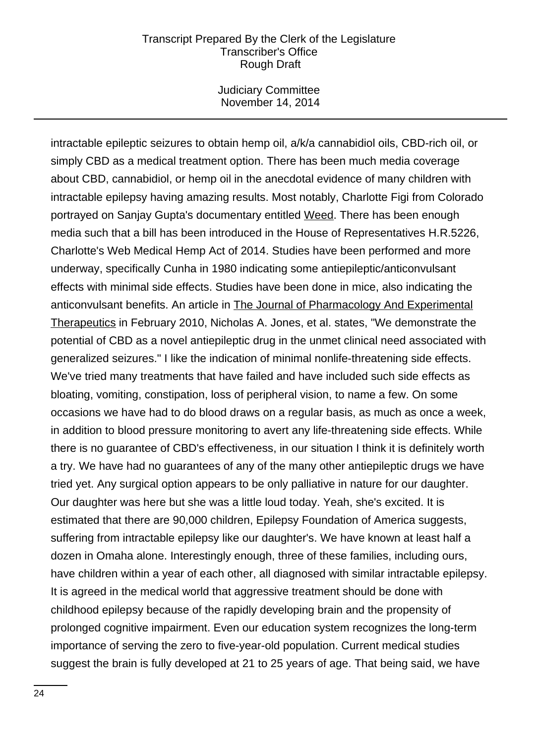Judiciary Committee November 14, 2014

intractable epileptic seizures to obtain hemp oil, a/k/a cannabidiol oils, CBD-rich oil, or simply CBD as a medical treatment option. There has been much media coverage about CBD, cannabidiol, or hemp oil in the anecdotal evidence of many children with intractable epilepsy having amazing results. Most notably, Charlotte Figi from Colorado portrayed on Sanjay Gupta's documentary entitled Weed. There has been enough media such that a bill has been introduced in the House of Representatives H.R.5226, Charlotte's Web Medical Hemp Act of 2014. Studies have been performed and more underway, specifically Cunha in 1980 indicating some antiepileptic/anticonvulsant effects with minimal side effects. Studies have been done in mice, also indicating the anticonvulsant benefits. An article in The Journal of Pharmacology And Experimental Therapeutics in February 2010, Nicholas A. Jones, et al. states, "We demonstrate the potential of CBD as a novel antiepileptic drug in the unmet clinical need associated with generalized seizures." I like the indication of minimal nonlife-threatening side effects. We've tried many treatments that have failed and have included such side effects as bloating, vomiting, constipation, loss of peripheral vision, to name a few. On some occasions we have had to do blood draws on a regular basis, as much as once a week, in addition to blood pressure monitoring to avert any life-threatening side effects. While there is no guarantee of CBD's effectiveness, in our situation I think it is definitely worth a try. We have had no guarantees of any of the many other antiepileptic drugs we have tried yet. Any surgical option appears to be only palliative in nature for our daughter. Our daughter was here but she was a little loud today. Yeah, she's excited. It is estimated that there are 90,000 children, Epilepsy Foundation of America suggests, suffering from intractable epilepsy like our daughter's. We have known at least half a dozen in Omaha alone. Interestingly enough, three of these families, including ours, have children within a year of each other, all diagnosed with similar intractable epilepsy. It is agreed in the medical world that aggressive treatment should be done with childhood epilepsy because of the rapidly developing brain and the propensity of prolonged cognitive impairment. Even our education system recognizes the long-term importance of serving the zero to five-year-old population. Current medical studies suggest the brain is fully developed at 21 to 25 years of age. That being said, we have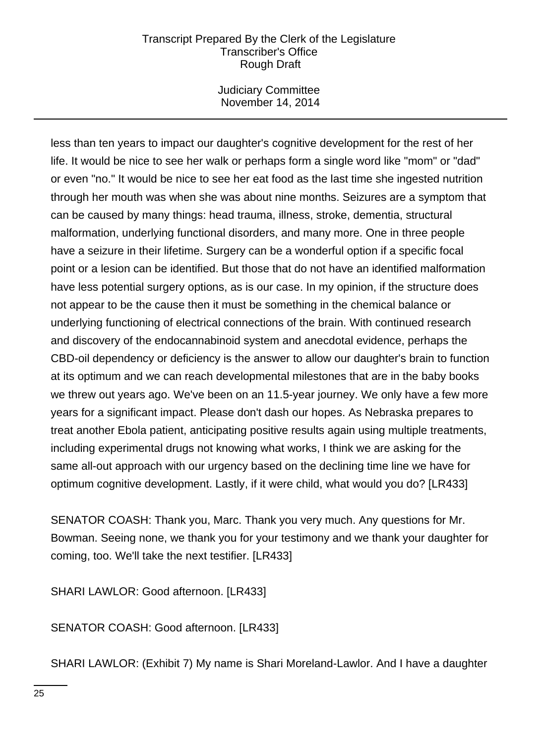Judiciary Committee November 14, 2014

less than ten years to impact our daughter's cognitive development for the rest of her life. It would be nice to see her walk or perhaps form a single word like "mom" or "dad" or even "no." It would be nice to see her eat food as the last time she ingested nutrition through her mouth was when she was about nine months. Seizures are a symptom that can be caused by many things: head trauma, illness, stroke, dementia, structural malformation, underlying functional disorders, and many more. One in three people have a seizure in their lifetime. Surgery can be a wonderful option if a specific focal point or a lesion can be identified. But those that do not have an identified malformation have less potential surgery options, as is our case. In my opinion, if the structure does not appear to be the cause then it must be something in the chemical balance or underlying functioning of electrical connections of the brain. With continued research and discovery of the endocannabinoid system and anecdotal evidence, perhaps the CBD-oil dependency or deficiency is the answer to allow our daughter's brain to function at its optimum and we can reach developmental milestones that are in the baby books we threw out years ago. We've been on an 11.5-year journey. We only have a few more years for a significant impact. Please don't dash our hopes. As Nebraska prepares to treat another Ebola patient, anticipating positive results again using multiple treatments, including experimental drugs not knowing what works, I think we are asking for the same all-out approach with our urgency based on the declining time line we have for optimum cognitive development. Lastly, if it were child, what would you do? [LR433]

SENATOR COASH: Thank you, Marc. Thank you very much. Any questions for Mr. Bowman. Seeing none, we thank you for your testimony and we thank your daughter for coming, too. We'll take the next testifier. [LR433]

SHARI LAWLOR: Good afternoon. [LR433]

SENATOR COASH: Good afternoon. [LR433]

SHARI LAWLOR: (Exhibit 7) My name is Shari Moreland-Lawlor. And I have a daughter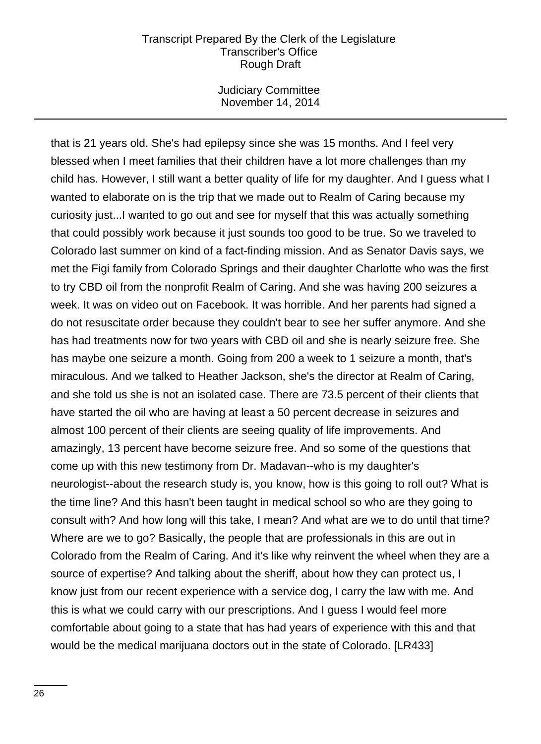Judiciary Committee November 14, 2014

that is 21 years old. She's had epilepsy since she was 15 months. And I feel very blessed when I meet families that their children have a lot more challenges than my child has. However, I still want a better quality of life for my daughter. And I guess what I wanted to elaborate on is the trip that we made out to Realm of Caring because my curiosity just...I wanted to go out and see for myself that this was actually something that could possibly work because it just sounds too good to be true. So we traveled to Colorado last summer on kind of a fact-finding mission. And as Senator Davis says, we met the Figi family from Colorado Springs and their daughter Charlotte who was the first to try CBD oil from the nonprofit Realm of Caring. And she was having 200 seizures a week. It was on video out on Facebook. It was horrible. And her parents had signed a do not resuscitate order because they couldn't bear to see her suffer anymore. And she has had treatments now for two years with CBD oil and she is nearly seizure free. She has maybe one seizure a month. Going from 200 a week to 1 seizure a month, that's miraculous. And we talked to Heather Jackson, she's the director at Realm of Caring, and she told us she is not an isolated case. There are 73.5 percent of their clients that have started the oil who are having at least a 50 percent decrease in seizures and almost 100 percent of their clients are seeing quality of life improvements. And amazingly, 13 percent have become seizure free. And so some of the questions that come up with this new testimony from Dr. Madavan--who is my daughter's neurologist--about the research study is, you know, how is this going to roll out? What is the time line? And this hasn't been taught in medical school so who are they going to consult with? And how long will this take, I mean? And what are we to do until that time? Where are we to go? Basically, the people that are professionals in this are out in Colorado from the Realm of Caring. And it's like why reinvent the wheel when they are a source of expertise? And talking about the sheriff, about how they can protect us, I know just from our recent experience with a service dog, I carry the law with me. And this is what we could carry with our prescriptions. And I guess I would feel more comfortable about going to a state that has had years of experience with this and that would be the medical marijuana doctors out in the state of Colorado. [LR433]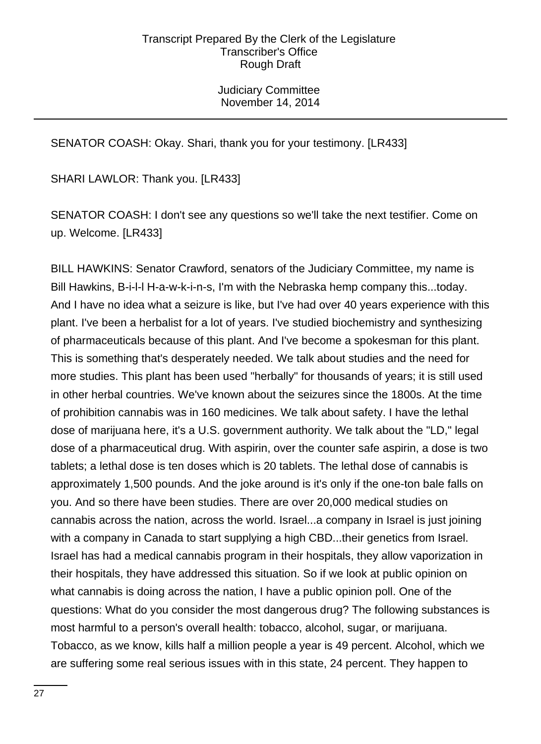Judiciary Committee November 14, 2014

# SENATOR COASH: Okay. Shari, thank you for your testimony. [LR433]

SHARI LAWLOR: Thank you. [LR433]

SENATOR COASH: I don't see any questions so we'll take the next testifier. Come on up. Welcome. [LR433]

BILL HAWKINS: Senator Crawford, senators of the Judiciary Committee, my name is Bill Hawkins, B-i-l-l H-a-w-k-i-n-s, I'm with the Nebraska hemp company this...today. And I have no idea what a seizure is like, but I've had over 40 years experience with this plant. I've been a herbalist for a lot of years. I've studied biochemistry and synthesizing of pharmaceuticals because of this plant. And I've become a spokesman for this plant. This is something that's desperately needed. We talk about studies and the need for more studies. This plant has been used "herbally" for thousands of years; it is still used in other herbal countries. We've known about the seizures since the 1800s. At the time of prohibition cannabis was in 160 medicines. We talk about safety. I have the lethal dose of marijuana here, it's a U.S. government authority. We talk about the "LD," legal dose of a pharmaceutical drug. With aspirin, over the counter safe aspirin, a dose is two tablets; a lethal dose is ten doses which is 20 tablets. The lethal dose of cannabis is approximately 1,500 pounds. And the joke around is it's only if the one-ton bale falls on you. And so there have been studies. There are over 20,000 medical studies on cannabis across the nation, across the world. Israel...a company in Israel is just joining with a company in Canada to start supplying a high CBD...their genetics from Israel. Israel has had a medical cannabis program in their hospitals, they allow vaporization in their hospitals, they have addressed this situation. So if we look at public opinion on what cannabis is doing across the nation, I have a public opinion poll. One of the questions: What do you consider the most dangerous drug? The following substances is most harmful to a person's overall health: tobacco, alcohol, sugar, or marijuana. Tobacco, as we know, kills half a million people a year is 49 percent. Alcohol, which we are suffering some real serious issues with in this state, 24 percent. They happen to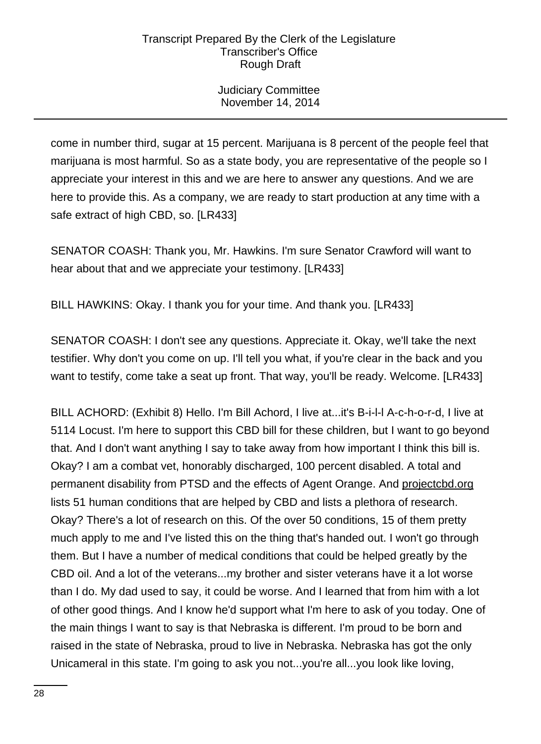Judiciary Committee November 14, 2014

come in number third, sugar at 15 percent. Marijuana is 8 percent of the people feel that marijuana is most harmful. So as a state body, you are representative of the people so I appreciate your interest in this and we are here to answer any questions. And we are here to provide this. As a company, we are ready to start production at any time with a safe extract of high CBD, so. [LR433]

SENATOR COASH: Thank you, Mr. Hawkins. I'm sure Senator Crawford will want to hear about that and we appreciate your testimony. [LR433]

BILL HAWKINS: Okay. I thank you for your time. And thank you. [LR433]

SENATOR COASH: I don't see any questions. Appreciate it. Okay, we'll take the next testifier. Why don't you come on up. I'll tell you what, if you're clear in the back and you want to testify, come take a seat up front. That way, you'll be ready. Welcome. [LR433]

BILL ACHORD: (Exhibit 8) Hello. I'm Bill Achord, I live at...it's B-i-l-l A-c-h-o-r-d, I live at 5114 Locust. I'm here to support this CBD bill for these children, but I want to go beyond that. And I don't want anything I say to take away from how important I think this bill is. Okay? I am a combat vet, honorably discharged, 100 percent disabled. A total and permanent disability from PTSD and the effects of Agent Orange. And projectcbd.org lists 51 human conditions that are helped by CBD and lists a plethora of research. Okay? There's a lot of research on this. Of the over 50 conditions, 15 of them pretty much apply to me and I've listed this on the thing that's handed out. I won't go through them. But I have a number of medical conditions that could be helped greatly by the CBD oil. And a lot of the veterans...my brother and sister veterans have it a lot worse than I do. My dad used to say, it could be worse. And I learned that from him with a lot of other good things. And I know he'd support what I'm here to ask of you today. One of the main things I want to say is that Nebraska is different. I'm proud to be born and raised in the state of Nebraska, proud to live in Nebraska. Nebraska has got the only Unicameral in this state. I'm going to ask you not...you're all...you look like loving,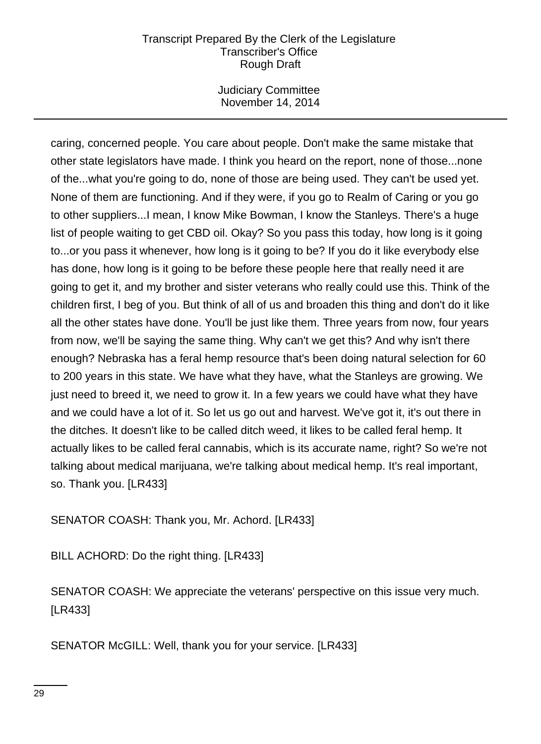Judiciary Committee November 14, 2014

caring, concerned people. You care about people. Don't make the same mistake that other state legislators have made. I think you heard on the report, none of those...none of the...what you're going to do, none of those are being used. They can't be used yet. None of them are functioning. And if they were, if you go to Realm of Caring or you go to other suppliers...I mean, I know Mike Bowman, I know the Stanleys. There's a huge list of people waiting to get CBD oil. Okay? So you pass this today, how long is it going to...or you pass it whenever, how long is it going to be? If you do it like everybody else has done, how long is it going to be before these people here that really need it are going to get it, and my brother and sister veterans who really could use this. Think of the children first, I beg of you. But think of all of us and broaden this thing and don't do it like all the other states have done. You'll be just like them. Three years from now, four years from now, we'll be saying the same thing. Why can't we get this? And why isn't there enough? Nebraska has a feral hemp resource that's been doing natural selection for 60 to 200 years in this state. We have what they have, what the Stanleys are growing. We just need to breed it, we need to grow it. In a few years we could have what they have and we could have a lot of it. So let us go out and harvest. We've got it, it's out there in the ditches. It doesn't like to be called ditch weed, it likes to be called feral hemp. It actually likes to be called feral cannabis, which is its accurate name, right? So we're not talking about medical marijuana, we're talking about medical hemp. It's real important, so. Thank you. [LR433]

SENATOR COASH: Thank you, Mr. Achord. [LR433]

BILL ACHORD: Do the right thing. [LR433]

SENATOR COASH: We appreciate the veterans' perspective on this issue very much. [LR433]

SENATOR McGILL: Well, thank you for your service. [LR433]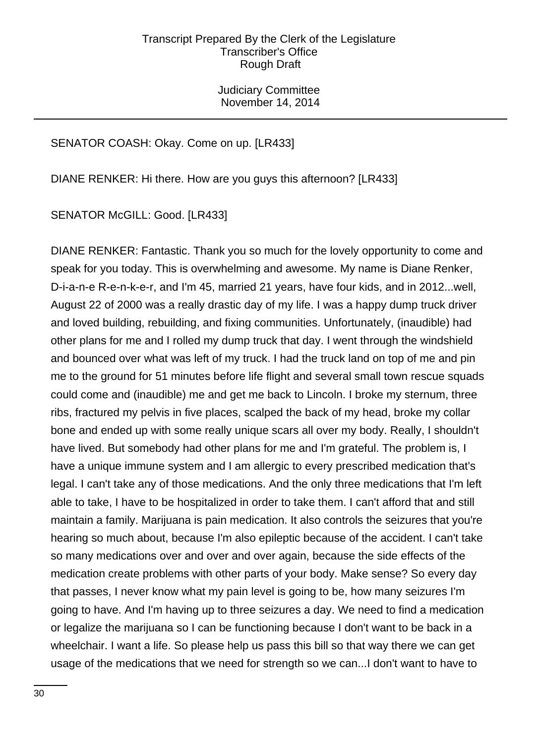Judiciary Committee November 14, 2014

# SENATOR COASH: Okay. Come on up. [LR433]

DIANE RENKER: Hi there. How are you guys this afternoon? [LR433]

SENATOR McGILL: Good. [LR433]

DIANE RENKER: Fantastic. Thank you so much for the lovely opportunity to come and speak for you today. This is overwhelming and awesome. My name is Diane Renker, D-i-a-n-e R-e-n-k-e-r, and I'm 45, married 21 years, have four kids, and in 2012...well, August 22 of 2000 was a really drastic day of my life. I was a happy dump truck driver and loved building, rebuilding, and fixing communities. Unfortunately, (inaudible) had other plans for me and I rolled my dump truck that day. I went through the windshield and bounced over what was left of my truck. I had the truck land on top of me and pin me to the ground for 51 minutes before life flight and several small town rescue squads could come and (inaudible) me and get me back to Lincoln. I broke my sternum, three ribs, fractured my pelvis in five places, scalped the back of my head, broke my collar bone and ended up with some really unique scars all over my body. Really, I shouldn't have lived. But somebody had other plans for me and I'm grateful. The problem is, I have a unique immune system and I am allergic to every prescribed medication that's legal. I can't take any of those medications. And the only three medications that I'm left able to take, I have to be hospitalized in order to take them. I can't afford that and still maintain a family. Marijuana is pain medication. It also controls the seizures that you're hearing so much about, because I'm also epileptic because of the accident. I can't take so many medications over and over and over again, because the side effects of the medication create problems with other parts of your body. Make sense? So every day that passes, I never know what my pain level is going to be, how many seizures I'm going to have. And I'm having up to three seizures a day. We need to find a medication or legalize the marijuana so I can be functioning because I don't want to be back in a wheelchair. I want a life. So please help us pass this bill so that way there we can get usage of the medications that we need for strength so we can...I don't want to have to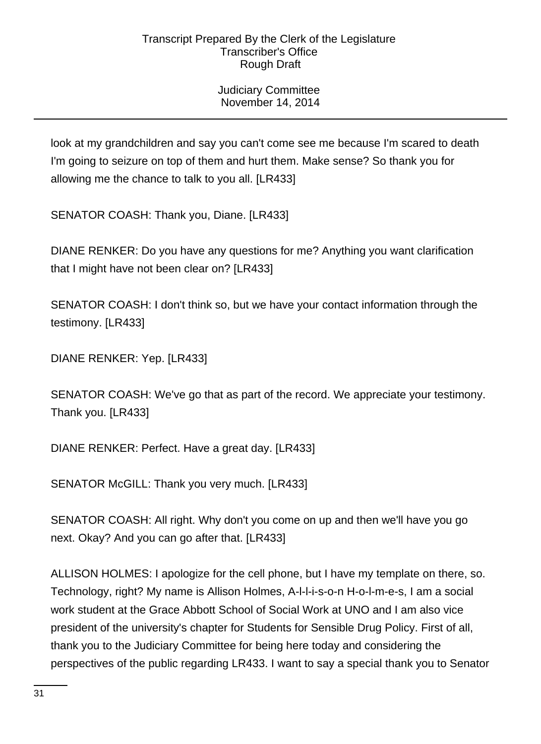Judiciary Committee November 14, 2014

look at my grandchildren and say you can't come see me because I'm scared to death I'm going to seizure on top of them and hurt them. Make sense? So thank you for allowing me the chance to talk to you all. [LR433]

SENATOR COASH: Thank you, Diane. [LR433]

DIANE RENKER: Do you have any questions for me? Anything you want clarification that I might have not been clear on? [LR433]

SENATOR COASH: I don't think so, but we have your contact information through the testimony. [LR433]

DIANE RENKER: Yep. [LR433]

SENATOR COASH: We've go that as part of the record. We appreciate your testimony. Thank you. [LR433]

DIANE RENKER: Perfect. Have a great day. [LR433]

SENATOR McGILL: Thank you very much. [LR433]

SENATOR COASH: All right. Why don't you come on up and then we'll have you go next. Okay? And you can go after that. [LR433]

ALLISON HOLMES: I apologize for the cell phone, but I have my template on there, so. Technology, right? My name is Allison Holmes, A-l-l-i-s-o-n H-o-l-m-e-s, I am a social work student at the Grace Abbott School of Social Work at UNO and I am also vice president of the university's chapter for Students for Sensible Drug Policy. First of all, thank you to the Judiciary Committee for being here today and considering the perspectives of the public regarding LR433. I want to say a special thank you to Senator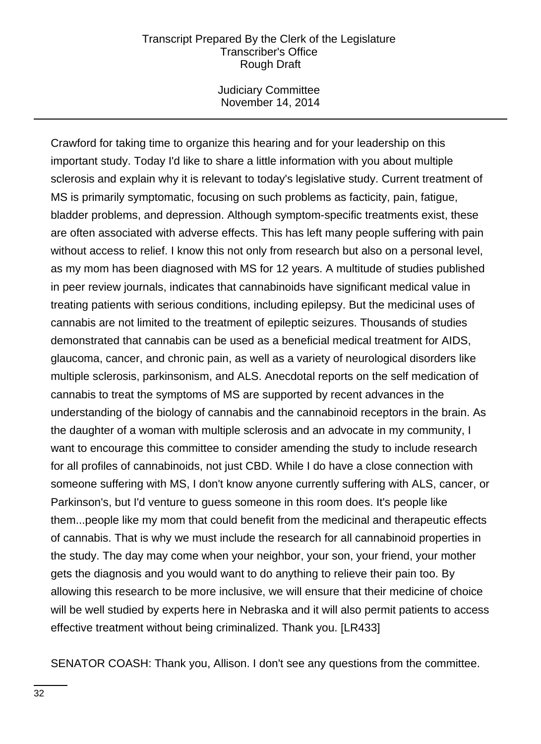Judiciary Committee November 14, 2014

Crawford for taking time to organize this hearing and for your leadership on this important study. Today I'd like to share a little information with you about multiple sclerosis and explain why it is relevant to today's legislative study. Current treatment of MS is primarily symptomatic, focusing on such problems as facticity, pain, fatigue, bladder problems, and depression. Although symptom-specific treatments exist, these are often associated with adverse effects. This has left many people suffering with pain without access to relief. I know this not only from research but also on a personal level, as my mom has been diagnosed with MS for 12 years. A multitude of studies published in peer review journals, indicates that cannabinoids have significant medical value in treating patients with serious conditions, including epilepsy. But the medicinal uses of cannabis are not limited to the treatment of epileptic seizures. Thousands of studies demonstrated that cannabis can be used as a beneficial medical treatment for AIDS, glaucoma, cancer, and chronic pain, as well as a variety of neurological disorders like multiple sclerosis, parkinsonism, and ALS. Anecdotal reports on the self medication of cannabis to treat the symptoms of MS are supported by recent advances in the understanding of the biology of cannabis and the cannabinoid receptors in the brain. As the daughter of a woman with multiple sclerosis and an advocate in my community, I want to encourage this committee to consider amending the study to include research for all profiles of cannabinoids, not just CBD. While I do have a close connection with someone suffering with MS, I don't know anyone currently suffering with ALS, cancer, or Parkinson's, but I'd venture to guess someone in this room does. It's people like them...people like my mom that could benefit from the medicinal and therapeutic effects of cannabis. That is why we must include the research for all cannabinoid properties in the study. The day may come when your neighbor, your son, your friend, your mother gets the diagnosis and you would want to do anything to relieve their pain too. By allowing this research to be more inclusive, we will ensure that their medicine of choice will be well studied by experts here in Nebraska and it will also permit patients to access effective treatment without being criminalized. Thank you. [LR433]

SENATOR COASH: Thank you, Allison. I don't see any questions from the committee.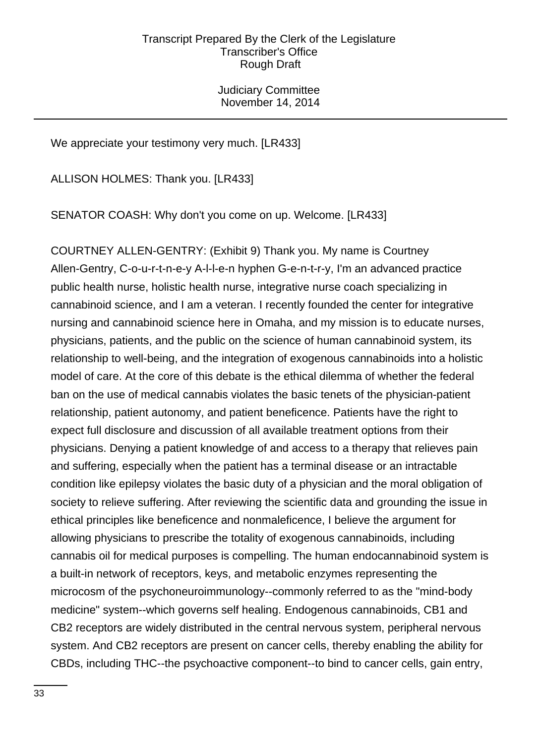Judiciary Committee November 14, 2014

We appreciate your testimony very much. [LR433]

ALLISON HOLMES: Thank you. [LR433]

SENATOR COASH: Why don't you come on up. Welcome. [LR433]

COURTNEY ALLEN-GENTRY: (Exhibit 9) Thank you. My name is Courtney Allen-Gentry, C-o-u-r-t-n-e-y A-l-l-e-n hyphen G-e-n-t-r-y, I'm an advanced practice public health nurse, holistic health nurse, integrative nurse coach specializing in cannabinoid science, and I am a veteran. I recently founded the center for integrative nursing and cannabinoid science here in Omaha, and my mission is to educate nurses, physicians, patients, and the public on the science of human cannabinoid system, its relationship to well-being, and the integration of exogenous cannabinoids into a holistic model of care. At the core of this debate is the ethical dilemma of whether the federal ban on the use of medical cannabis violates the basic tenets of the physician-patient relationship, patient autonomy, and patient beneficence. Patients have the right to expect full disclosure and discussion of all available treatment options from their physicians. Denying a patient knowledge of and access to a therapy that relieves pain and suffering, especially when the patient has a terminal disease or an intractable condition like epilepsy violates the basic duty of a physician and the moral obligation of society to relieve suffering. After reviewing the scientific data and grounding the issue in ethical principles like beneficence and nonmaleficence, I believe the argument for allowing physicians to prescribe the totality of exogenous cannabinoids, including cannabis oil for medical purposes is compelling. The human endocannabinoid system is a built-in network of receptors, keys, and metabolic enzymes representing the microcosm of the psychoneuroimmunology--commonly referred to as the "mind-body medicine" system--which governs self healing. Endogenous cannabinoids, CB1 and CB2 receptors are widely distributed in the central nervous system, peripheral nervous system. And CB2 receptors are present on cancer cells, thereby enabling the ability for CBDs, including THC--the psychoactive component--to bind to cancer cells, gain entry,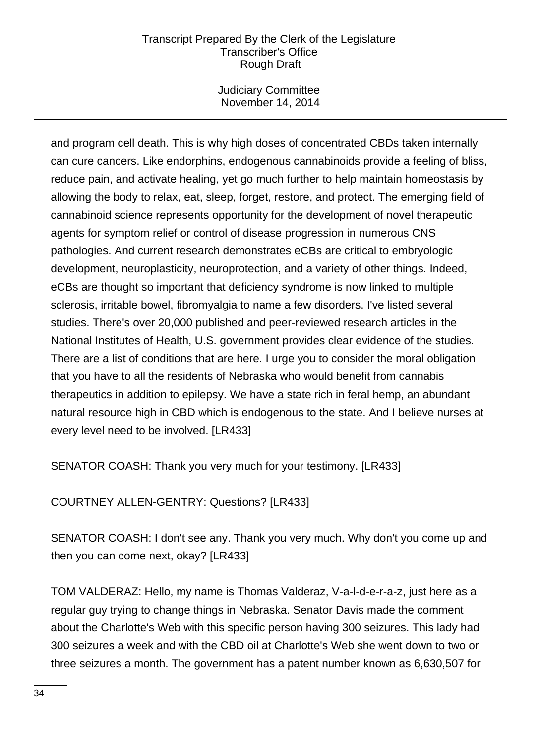Judiciary Committee November 14, 2014

and program cell death. This is why high doses of concentrated CBDs taken internally can cure cancers. Like endorphins, endogenous cannabinoids provide a feeling of bliss, reduce pain, and activate healing, yet go much further to help maintain homeostasis by allowing the body to relax, eat, sleep, forget, restore, and protect. The emerging field of cannabinoid science represents opportunity for the development of novel therapeutic agents for symptom relief or control of disease progression in numerous CNS pathologies. And current research demonstrates eCBs are critical to embryologic development, neuroplasticity, neuroprotection, and a variety of other things. Indeed, eCBs are thought so important that deficiency syndrome is now linked to multiple sclerosis, irritable bowel, fibromyalgia to name a few disorders. I've listed several studies. There's over 20,000 published and peer-reviewed research articles in the National Institutes of Health, U.S. government provides clear evidence of the studies. There are a list of conditions that are here. I urge you to consider the moral obligation that you have to all the residents of Nebraska who would benefit from cannabis therapeutics in addition to epilepsy. We have a state rich in feral hemp, an abundant natural resource high in CBD which is endogenous to the state. And I believe nurses at every level need to be involved. [LR433]

SENATOR COASH: Thank you very much for your testimony. [LR433]

COURTNEY ALLEN-GENTRY: Questions? [LR433]

SENATOR COASH: I don't see any. Thank you very much. Why don't you come up and then you can come next, okay? [LR433]

TOM VALDERAZ: Hello, my name is Thomas Valderaz, V-a-l-d-e-r-a-z, just here as a regular guy trying to change things in Nebraska. Senator Davis made the comment about the Charlotte's Web with this specific person having 300 seizures. This lady had 300 seizures a week and with the CBD oil at Charlotte's Web she went down to two or three seizures a month. The government has a patent number known as 6,630,507 for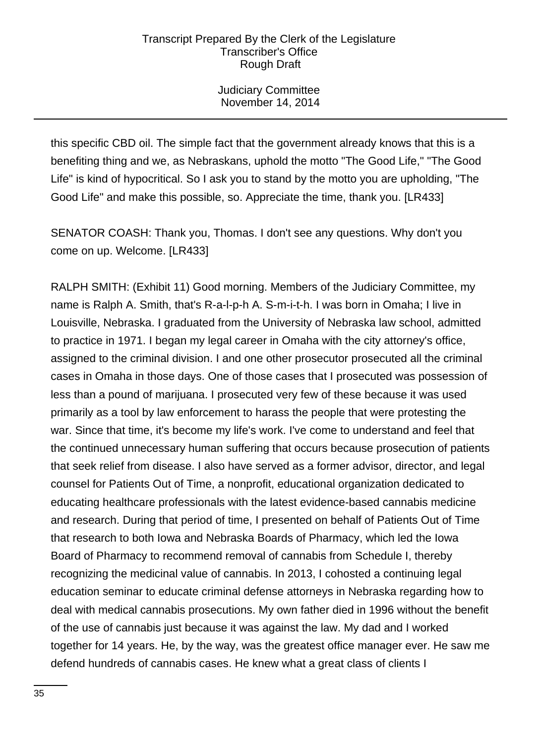Judiciary Committee November 14, 2014

this specific CBD oil. The simple fact that the government already knows that this is a benefiting thing and we, as Nebraskans, uphold the motto "The Good Life," "The Good Life" is kind of hypocritical. So I ask you to stand by the motto you are upholding, "The Good Life" and make this possible, so. Appreciate the time, thank you. [LR433]

SENATOR COASH: Thank you, Thomas. I don't see any questions. Why don't you come on up. Welcome. [LR433]

RALPH SMITH: (Exhibit 11) Good morning. Members of the Judiciary Committee, my name is Ralph A. Smith, that's R-a-l-p-h A. S-m-i-t-h. I was born in Omaha; I live in Louisville, Nebraska. I graduated from the University of Nebraska law school, admitted to practice in 1971. I began my legal career in Omaha with the city attorney's office, assigned to the criminal division. I and one other prosecutor prosecuted all the criminal cases in Omaha in those days. One of those cases that I prosecuted was possession of less than a pound of marijuana. I prosecuted very few of these because it was used primarily as a tool by law enforcement to harass the people that were protesting the war. Since that time, it's become my life's work. I've come to understand and feel that the continued unnecessary human suffering that occurs because prosecution of patients that seek relief from disease. I also have served as a former advisor, director, and legal counsel for Patients Out of Time, a nonprofit, educational organization dedicated to educating healthcare professionals with the latest evidence-based cannabis medicine and research. During that period of time, I presented on behalf of Patients Out of Time that research to both Iowa and Nebraska Boards of Pharmacy, which led the Iowa Board of Pharmacy to recommend removal of cannabis from Schedule I, thereby recognizing the medicinal value of cannabis. In 2013, I cohosted a continuing legal education seminar to educate criminal defense attorneys in Nebraska regarding how to deal with medical cannabis prosecutions. My own father died in 1996 without the benefit of the use of cannabis just because it was against the law. My dad and I worked together for 14 years. He, by the way, was the greatest office manager ever. He saw me defend hundreds of cannabis cases. He knew what a great class of clients I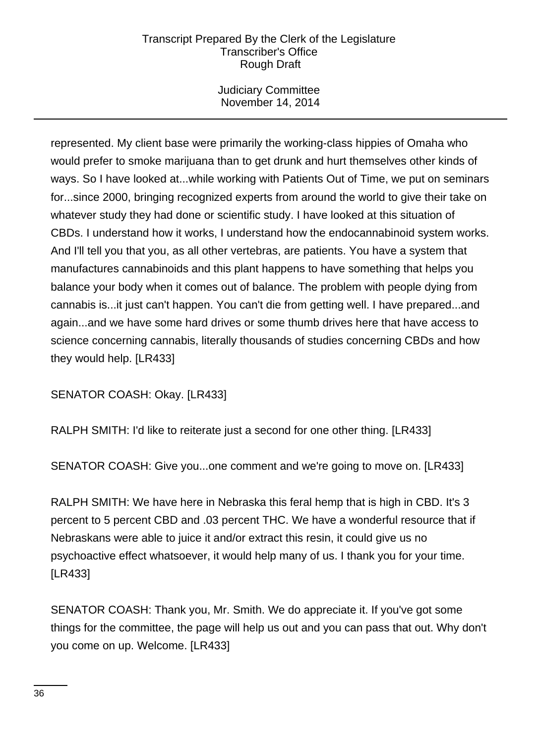Judiciary Committee November 14, 2014

represented. My client base were primarily the working-class hippies of Omaha who would prefer to smoke marijuana than to get drunk and hurt themselves other kinds of ways. So I have looked at...while working with Patients Out of Time, we put on seminars for...since 2000, bringing recognized experts from around the world to give their take on whatever study they had done or scientific study. I have looked at this situation of CBDs. I understand how it works, I understand how the endocannabinoid system works. And I'll tell you that you, as all other vertebras, are patients. You have a system that manufactures cannabinoids and this plant happens to have something that helps you balance your body when it comes out of balance. The problem with people dying from cannabis is...it just can't happen. You can't die from getting well. I have prepared...and again...and we have some hard drives or some thumb drives here that have access to science concerning cannabis, literally thousands of studies concerning CBDs and how they would help. [LR433]

SENATOR COASH: Okay. [LR433]

RALPH SMITH: I'd like to reiterate just a second for one other thing. [LR433]

SENATOR COASH: Give you...one comment and we're going to move on. [LR433]

RALPH SMITH: We have here in Nebraska this feral hemp that is high in CBD. It's 3 percent to 5 percent CBD and .03 percent THC. We have a wonderful resource that if Nebraskans were able to juice it and/or extract this resin, it could give us no psychoactive effect whatsoever, it would help many of us. I thank you for your time. [LR433]

SENATOR COASH: Thank you, Mr. Smith. We do appreciate it. If you've got some things for the committee, the page will help us out and you can pass that out. Why don't you come on up. Welcome. [LR433]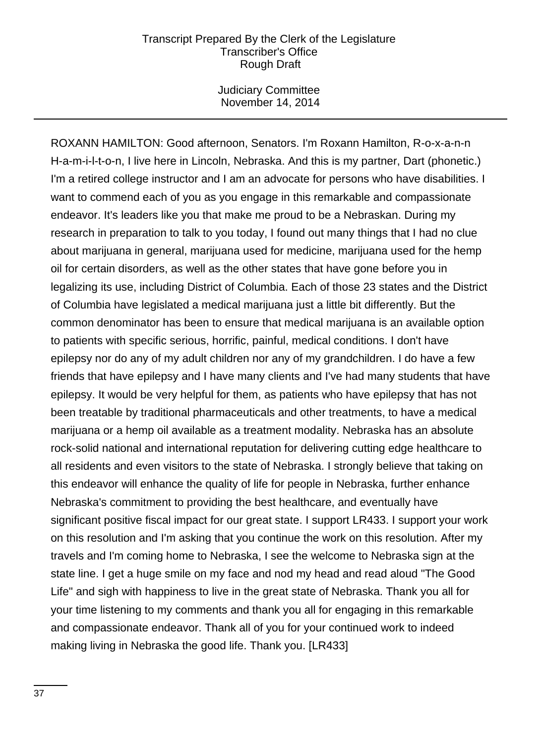Judiciary Committee November 14, 2014

ROXANN HAMILTON: Good afternoon, Senators. I'm Roxann Hamilton, R-o-x-a-n-n H-a-m-i-l-t-o-n, I live here in Lincoln, Nebraska. And this is my partner, Dart (phonetic.) I'm a retired college instructor and I am an advocate for persons who have disabilities. I want to commend each of you as you engage in this remarkable and compassionate endeavor. It's leaders like you that make me proud to be a Nebraskan. During my research in preparation to talk to you today, I found out many things that I had no clue about marijuana in general, marijuana used for medicine, marijuana used for the hemp oil for certain disorders, as well as the other states that have gone before you in legalizing its use, including District of Columbia. Each of those 23 states and the District of Columbia have legislated a medical marijuana just a little bit differently. But the common denominator has been to ensure that medical marijuana is an available option to patients with specific serious, horrific, painful, medical conditions. I don't have epilepsy nor do any of my adult children nor any of my grandchildren. I do have a few friends that have epilepsy and I have many clients and I've had many students that have epilepsy. It would be very helpful for them, as patients who have epilepsy that has not been treatable by traditional pharmaceuticals and other treatments, to have a medical marijuana or a hemp oil available as a treatment modality. Nebraska has an absolute rock-solid national and international reputation for delivering cutting edge healthcare to all residents and even visitors to the state of Nebraska. I strongly believe that taking on this endeavor will enhance the quality of life for people in Nebraska, further enhance Nebraska's commitment to providing the best healthcare, and eventually have significant positive fiscal impact for our great state. I support LR433. I support your work on this resolution and I'm asking that you continue the work on this resolution. After my travels and I'm coming home to Nebraska, I see the welcome to Nebraska sign at the state line. I get a huge smile on my face and nod my head and read aloud "The Good Life" and sigh with happiness to live in the great state of Nebraska. Thank you all for your time listening to my comments and thank you all for engaging in this remarkable and compassionate endeavor. Thank all of you for your continued work to indeed making living in Nebraska the good life. Thank you. [LR433]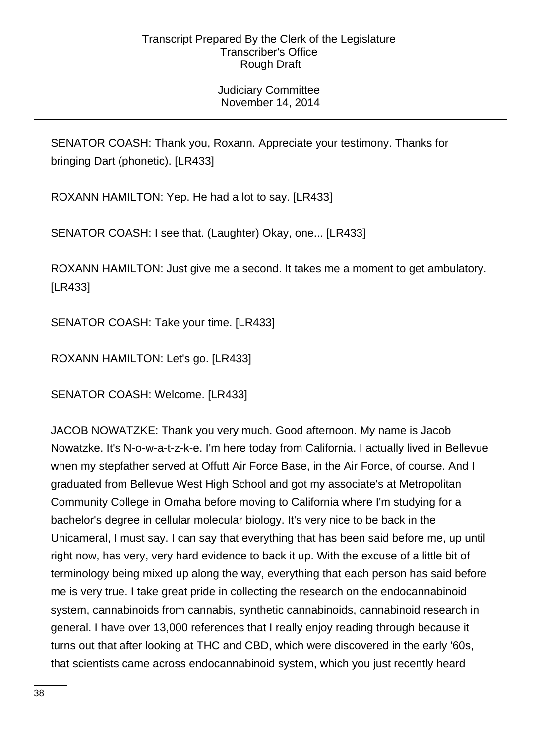Judiciary Committee November 14, 2014

SENATOR COASH: Thank you, Roxann. Appreciate your testimony. Thanks for bringing Dart (phonetic). [LR433]

ROXANN HAMILTON: Yep. He had a lot to say. [LR433]

SENATOR COASH: I see that. (Laughter) Okay, one... [LR433]

ROXANN HAMILTON: Just give me a second. It takes me a moment to get ambulatory. [LR433]

SENATOR COASH: Take your time. [LR433]

ROXANN HAMILTON: Let's go. [LR433]

SENATOR COASH: Welcome. [LR433]

JACOB NOWATZKE: Thank you very much. Good afternoon. My name is Jacob Nowatzke. It's N-o-w-a-t-z-k-e. I'm here today from California. I actually lived in Bellevue when my stepfather served at Offutt Air Force Base, in the Air Force, of course. And I graduated from Bellevue West High School and got my associate's at Metropolitan Community College in Omaha before moving to California where I'm studying for a bachelor's degree in cellular molecular biology. It's very nice to be back in the Unicameral, I must say. I can say that everything that has been said before me, up until right now, has very, very hard evidence to back it up. With the excuse of a little bit of terminology being mixed up along the way, everything that each person has said before me is very true. I take great pride in collecting the research on the endocannabinoid system, cannabinoids from cannabis, synthetic cannabinoids, cannabinoid research in general. I have over 13,000 references that I really enjoy reading through because it turns out that after looking at THC and CBD, which were discovered in the early '60s, that scientists came across endocannabinoid system, which you just recently heard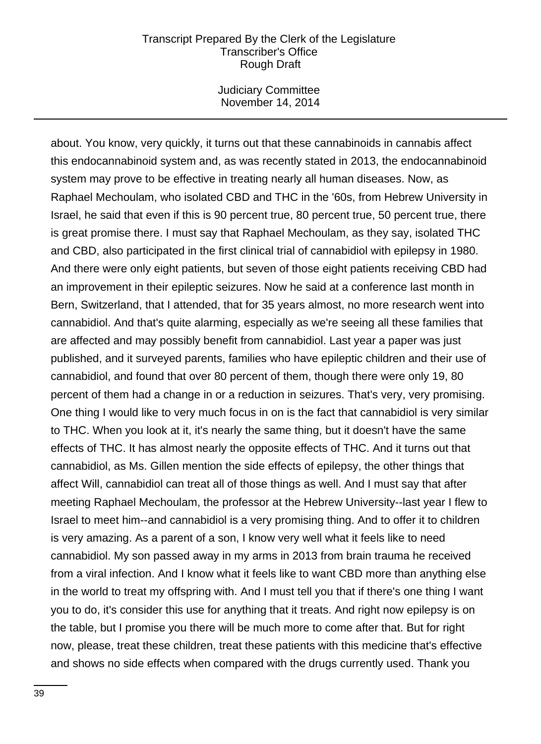Judiciary Committee November 14, 2014

about. You know, very quickly, it turns out that these cannabinoids in cannabis affect this endocannabinoid system and, as was recently stated in 2013, the endocannabinoid system may prove to be effective in treating nearly all human diseases. Now, as Raphael Mechoulam, who isolated CBD and THC in the '60s, from Hebrew University in Israel, he said that even if this is 90 percent true, 80 percent true, 50 percent true, there is great promise there. I must say that Raphael Mechoulam, as they say, isolated THC and CBD, also participated in the first clinical trial of cannabidiol with epilepsy in 1980. And there were only eight patients, but seven of those eight patients receiving CBD had an improvement in their epileptic seizures. Now he said at a conference last month in Bern, Switzerland, that I attended, that for 35 years almost, no more research went into cannabidiol. And that's quite alarming, especially as we're seeing all these families that are affected and may possibly benefit from cannabidiol. Last year a paper was just published, and it surveyed parents, families who have epileptic children and their use of cannabidiol, and found that over 80 percent of them, though there were only 19, 80 percent of them had a change in or a reduction in seizures. That's very, very promising. One thing I would like to very much focus in on is the fact that cannabidiol is very similar to THC. When you look at it, it's nearly the same thing, but it doesn't have the same effects of THC. It has almost nearly the opposite effects of THC. And it turns out that cannabidiol, as Ms. Gillen mention the side effects of epilepsy, the other things that affect Will, cannabidiol can treat all of those things as well. And I must say that after meeting Raphael Mechoulam, the professor at the Hebrew University--last year I flew to Israel to meet him--and cannabidiol is a very promising thing. And to offer it to children is very amazing. As a parent of a son, I know very well what it feels like to need cannabidiol. My son passed away in my arms in 2013 from brain trauma he received from a viral infection. And I know what it feels like to want CBD more than anything else in the world to treat my offspring with. And I must tell you that if there's one thing I want you to do, it's consider this use for anything that it treats. And right now epilepsy is on the table, but I promise you there will be much more to come after that. But for right now, please, treat these children, treat these patients with this medicine that's effective and shows no side effects when compared with the drugs currently used. Thank you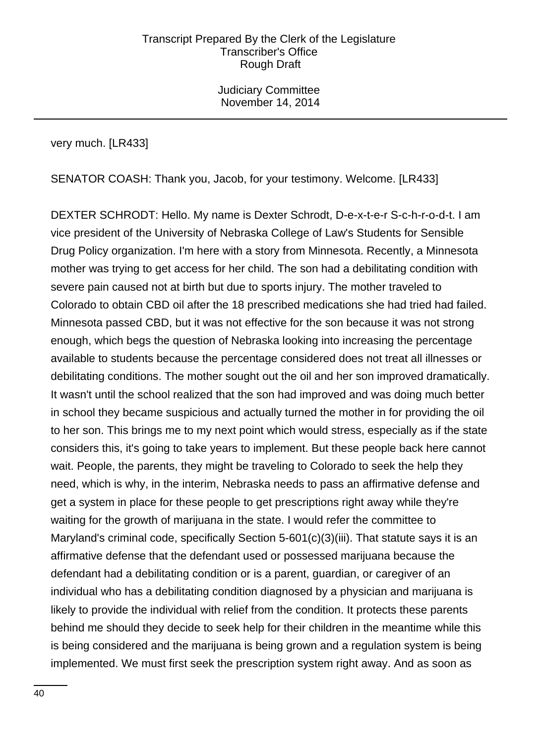Judiciary Committee November 14, 2014

very much. [LR433]

SENATOR COASH: Thank you, Jacob, for your testimony. Welcome. [LR433]

DEXTER SCHRODT: Hello. My name is Dexter Schrodt, D-e-x-t-e-r S-c-h-r-o-d-t. I am vice president of the University of Nebraska College of Law's Students for Sensible Drug Policy organization. I'm here with a story from Minnesota. Recently, a Minnesota mother was trying to get access for her child. The son had a debilitating condition with severe pain caused not at birth but due to sports injury. The mother traveled to Colorado to obtain CBD oil after the 18 prescribed medications she had tried had failed. Minnesota passed CBD, but it was not effective for the son because it was not strong enough, which begs the question of Nebraska looking into increasing the percentage available to students because the percentage considered does not treat all illnesses or debilitating conditions. The mother sought out the oil and her son improved dramatically. It wasn't until the school realized that the son had improved and was doing much better in school they became suspicious and actually turned the mother in for providing the oil to her son. This brings me to my next point which would stress, especially as if the state considers this, it's going to take years to implement. But these people back here cannot wait. People, the parents, they might be traveling to Colorado to seek the help they need, which is why, in the interim, Nebraska needs to pass an affirmative defense and get a system in place for these people to get prescriptions right away while they're waiting for the growth of marijuana in the state. I would refer the committee to Maryland's criminal code, specifically Section 5-601(c)(3)(iii). That statute says it is an affirmative defense that the defendant used or possessed marijuana because the defendant had a debilitating condition or is a parent, guardian, or caregiver of an individual who has a debilitating condition diagnosed by a physician and marijuana is likely to provide the individual with relief from the condition. It protects these parents behind me should they decide to seek help for their children in the meantime while this is being considered and the marijuana is being grown and a regulation system is being implemented. We must first seek the prescription system right away. And as soon as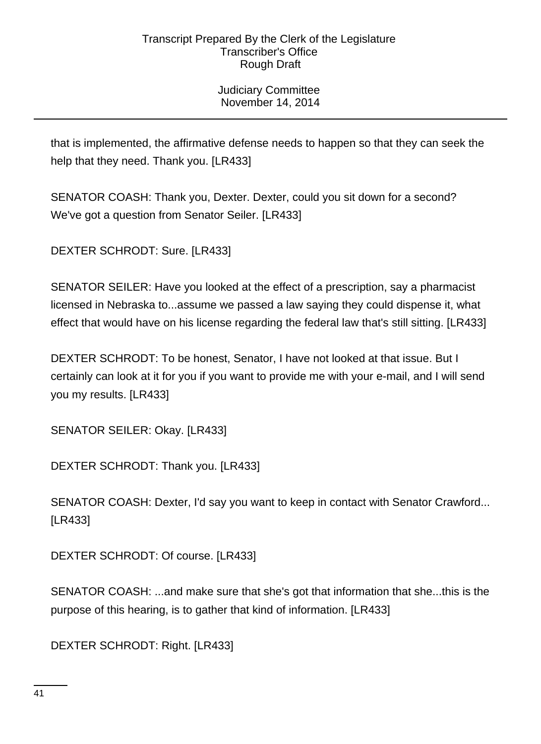Judiciary Committee November 14, 2014

that is implemented, the affirmative defense needs to happen so that they can seek the help that they need. Thank you. [LR433]

SENATOR COASH: Thank you, Dexter. Dexter, could you sit down for a second? We've got a question from Senator Seiler. [LR433]

DEXTER SCHRODT: Sure. [LR433]

SENATOR SEILER: Have you looked at the effect of a prescription, say a pharmacist licensed in Nebraska to...assume we passed a law saying they could dispense it, what effect that would have on his license regarding the federal law that's still sitting. [LR433]

DEXTER SCHRODT: To be honest, Senator, I have not looked at that issue. But I certainly can look at it for you if you want to provide me with your e-mail, and I will send you my results. [LR433]

SENATOR SEILER: Okay. [LR433]

DEXTER SCHRODT: Thank you. [LR433]

SENATOR COASH: Dexter, I'd say you want to keep in contact with Senator Crawford... [LR433]

DEXTER SCHRODT: Of course. [LR433]

SENATOR COASH: ...and make sure that she's got that information that she...this is the purpose of this hearing, is to gather that kind of information. [LR433]

DEXTER SCHRODT: Right. [LR433]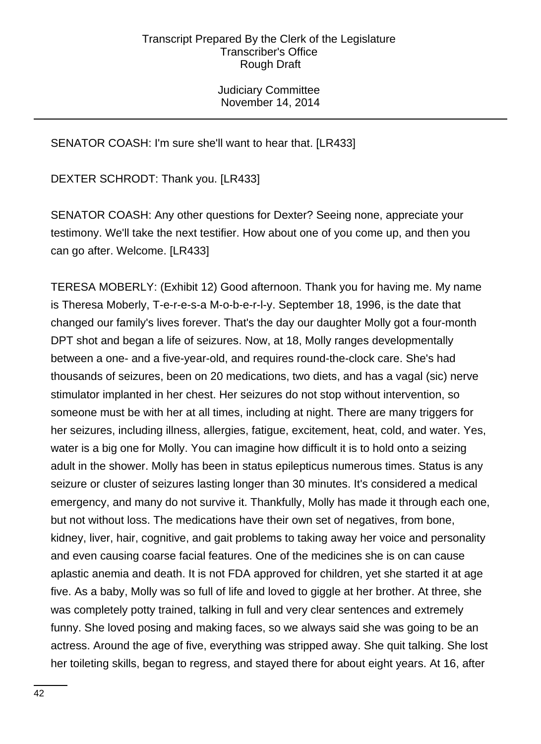Judiciary Committee November 14, 2014

# SENATOR COASH: I'm sure she'll want to hear that. [LR433]

DEXTER SCHRODT: Thank you. [LR433]

SENATOR COASH: Any other questions for Dexter? Seeing none, appreciate your testimony. We'll take the next testifier. How about one of you come up, and then you can go after. Welcome. [LR433]

TERESA MOBERLY: (Exhibit 12) Good afternoon. Thank you for having me. My name is Theresa Moberly, T-e-r-e-s-a M-o-b-e-r-l-y. September 18, 1996, is the date that changed our family's lives forever. That's the day our daughter Molly got a four-month DPT shot and began a life of seizures. Now, at 18, Molly ranges developmentally between a one- and a five-year-old, and requires round-the-clock care. She's had thousands of seizures, been on 20 medications, two diets, and has a vagal (sic) nerve stimulator implanted in her chest. Her seizures do not stop without intervention, so someone must be with her at all times, including at night. There are many triggers for her seizures, including illness, allergies, fatigue, excitement, heat, cold, and water. Yes, water is a big one for Molly. You can imagine how difficult it is to hold onto a seizing adult in the shower. Molly has been in status epilepticus numerous times. Status is any seizure or cluster of seizures lasting longer than 30 minutes. It's considered a medical emergency, and many do not survive it. Thankfully, Molly has made it through each one, but not without loss. The medications have their own set of negatives, from bone, kidney, liver, hair, cognitive, and gait problems to taking away her voice and personality and even causing coarse facial features. One of the medicines she is on can cause aplastic anemia and death. It is not FDA approved for children, yet she started it at age five. As a baby, Molly was so full of life and loved to giggle at her brother. At three, she was completely potty trained, talking in full and very clear sentences and extremely funny. She loved posing and making faces, so we always said she was going to be an actress. Around the age of five, everything was stripped away. She quit talking. She lost her toileting skills, began to regress, and stayed there for about eight years. At 16, after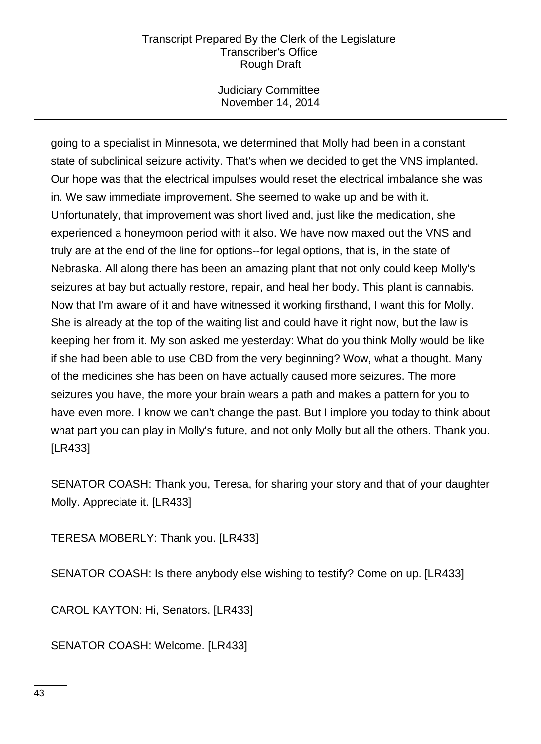Judiciary Committee November 14, 2014

going to a specialist in Minnesota, we determined that Molly had been in a constant state of subclinical seizure activity. That's when we decided to get the VNS implanted. Our hope was that the electrical impulses would reset the electrical imbalance she was in. We saw immediate improvement. She seemed to wake up and be with it. Unfortunately, that improvement was short lived and, just like the medication, she experienced a honeymoon period with it also. We have now maxed out the VNS and truly are at the end of the line for options--for legal options, that is, in the state of Nebraska. All along there has been an amazing plant that not only could keep Molly's seizures at bay but actually restore, repair, and heal her body. This plant is cannabis. Now that I'm aware of it and have witnessed it working firsthand, I want this for Molly. She is already at the top of the waiting list and could have it right now, but the law is keeping her from it. My son asked me yesterday: What do you think Molly would be like if she had been able to use CBD from the very beginning? Wow, what a thought. Many of the medicines she has been on have actually caused more seizures. The more seizures you have, the more your brain wears a path and makes a pattern for you to have even more. I know we can't change the past. But I implore you today to think about what part you can play in Molly's future, and not only Molly but all the others. Thank you. [LR433]

SENATOR COASH: Thank you, Teresa, for sharing your story and that of your daughter Molly. Appreciate it. [LR433]

TERESA MOBERLY: Thank you. [LR433]

SENATOR COASH: Is there anybody else wishing to testify? Come on up. [LR433]

CAROL KAYTON: Hi, Senators. [LR433]

SENATOR COASH: Welcome. [LR433]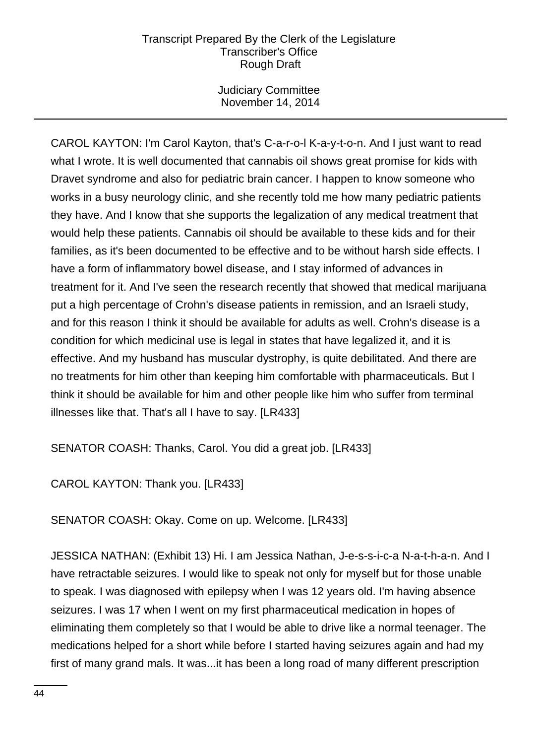Judiciary Committee November 14, 2014

CAROL KAYTON: I'm Carol Kayton, that's C-a-r-o-l K-a-y-t-o-n. And I just want to read what I wrote. It is well documented that cannabis oil shows great promise for kids with Dravet syndrome and also for pediatric brain cancer. I happen to know someone who works in a busy neurology clinic, and she recently told me how many pediatric patients they have. And I know that she supports the legalization of any medical treatment that would help these patients. Cannabis oil should be available to these kids and for their families, as it's been documented to be effective and to be without harsh side effects. I have a form of inflammatory bowel disease, and I stay informed of advances in treatment for it. And I've seen the research recently that showed that medical marijuana put a high percentage of Crohn's disease patients in remission, and an Israeli study, and for this reason I think it should be available for adults as well. Crohn's disease is a condition for which medicinal use is legal in states that have legalized it, and it is effective. And my husband has muscular dystrophy, is quite debilitated. And there are no treatments for him other than keeping him comfortable with pharmaceuticals. But I think it should be available for him and other people like him who suffer from terminal illnesses like that. That's all I have to say. [LR433]

SENATOR COASH: Thanks, Carol. You did a great job. [LR433]

CAROL KAYTON: Thank you. [LR433]

SENATOR COASH: Okay. Come on up. Welcome. [LR433]

JESSICA NATHAN: (Exhibit 13) Hi. I am Jessica Nathan, J-e-s-s-i-c-a N-a-t-h-a-n. And I have retractable seizures. I would like to speak not only for myself but for those unable to speak. I was diagnosed with epilepsy when I was 12 years old. I'm having absence seizures. I was 17 when I went on my first pharmaceutical medication in hopes of eliminating them completely so that I would be able to drive like a normal teenager. The medications helped for a short while before I started having seizures again and had my first of many grand mals. It was...it has been a long road of many different prescription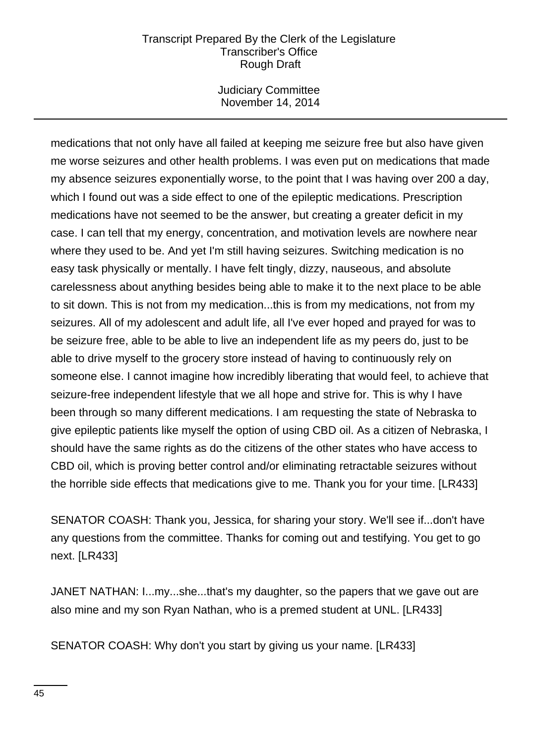Judiciary Committee November 14, 2014

medications that not only have all failed at keeping me seizure free but also have given me worse seizures and other health problems. I was even put on medications that made my absence seizures exponentially worse, to the point that I was having over 200 a day, which I found out was a side effect to one of the epileptic medications. Prescription medications have not seemed to be the answer, but creating a greater deficit in my case. I can tell that my energy, concentration, and motivation levels are nowhere near where they used to be. And yet I'm still having seizures. Switching medication is no easy task physically or mentally. I have felt tingly, dizzy, nauseous, and absolute carelessness about anything besides being able to make it to the next place to be able to sit down. This is not from my medication...this is from my medications, not from my seizures. All of my adolescent and adult life, all I've ever hoped and prayed for was to be seizure free, able to be able to live an independent life as my peers do, just to be able to drive myself to the grocery store instead of having to continuously rely on someone else. I cannot imagine how incredibly liberating that would feel, to achieve that seizure-free independent lifestyle that we all hope and strive for. This is why I have been through so many different medications. I am requesting the state of Nebraska to give epileptic patients like myself the option of using CBD oil. As a citizen of Nebraska, I should have the same rights as do the citizens of the other states who have access to CBD oil, which is proving better control and/or eliminating retractable seizures without the horrible side effects that medications give to me. Thank you for your time. [LR433]

SENATOR COASH: Thank you, Jessica, for sharing your story. We'll see if...don't have any questions from the committee. Thanks for coming out and testifying. You get to go next. [LR433]

JANET NATHAN: I...my...she...that's my daughter, so the papers that we gave out are also mine and my son Ryan Nathan, who is a premed student at UNL. [LR433]

SENATOR COASH: Why don't you start by giving us your name. [LR433]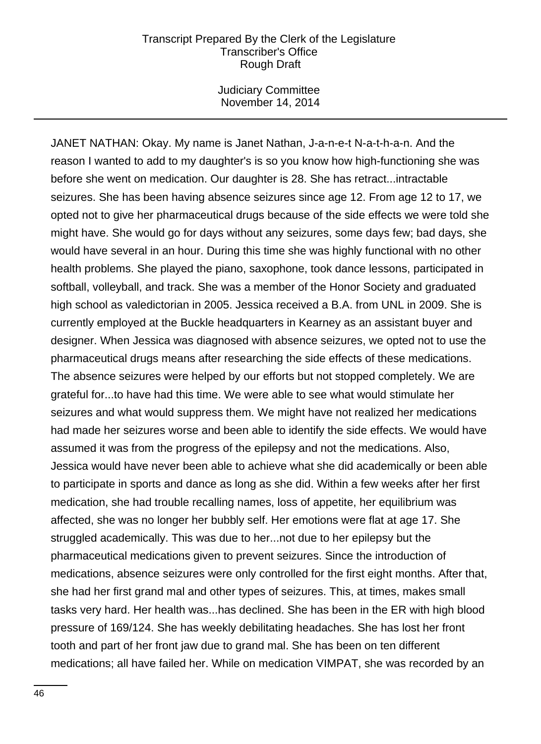Judiciary Committee November 14, 2014

JANET NATHAN: Okay. My name is Janet Nathan, J-a-n-e-t N-a-t-h-a-n. And the reason I wanted to add to my daughter's is so you know how high-functioning she was before she went on medication. Our daughter is 28. She has retract...intractable seizures. She has been having absence seizures since age 12. From age 12 to 17, we opted not to give her pharmaceutical drugs because of the side effects we were told she might have. She would go for days without any seizures, some days few; bad days, she would have several in an hour. During this time she was highly functional with no other health problems. She played the piano, saxophone, took dance lessons, participated in softball, volleyball, and track. She was a member of the Honor Society and graduated high school as valedictorian in 2005. Jessica received a B.A. from UNL in 2009. She is currently employed at the Buckle headquarters in Kearney as an assistant buyer and designer. When Jessica was diagnosed with absence seizures, we opted not to use the pharmaceutical drugs means after researching the side effects of these medications. The absence seizures were helped by our efforts but not stopped completely. We are grateful for...to have had this time. We were able to see what would stimulate her seizures and what would suppress them. We might have not realized her medications had made her seizures worse and been able to identify the side effects. We would have assumed it was from the progress of the epilepsy and not the medications. Also, Jessica would have never been able to achieve what she did academically or been able to participate in sports and dance as long as she did. Within a few weeks after her first medication, she had trouble recalling names, loss of appetite, her equilibrium was affected, she was no longer her bubbly self. Her emotions were flat at age 17. She struggled academically. This was due to her...not due to her epilepsy but the pharmaceutical medications given to prevent seizures. Since the introduction of medications, absence seizures were only controlled for the first eight months. After that, she had her first grand mal and other types of seizures. This, at times, makes small tasks very hard. Her health was...has declined. She has been in the ER with high blood pressure of 169/124. She has weekly debilitating headaches. She has lost her front tooth and part of her front jaw due to grand mal. She has been on ten different medications; all have failed her. While on medication VIMPAT, she was recorded by an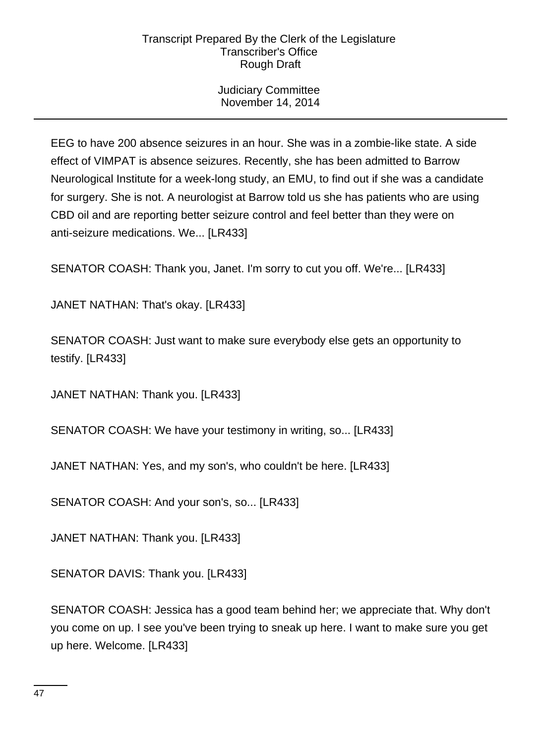Judiciary Committee November 14, 2014

EEG to have 200 absence seizures in an hour. She was in a zombie-like state. A side effect of VIMPAT is absence seizures. Recently, she has been admitted to Barrow Neurological Institute for a week-long study, an EMU, to find out if she was a candidate for surgery. She is not. A neurologist at Barrow told us she has patients who are using CBD oil and are reporting better seizure control and feel better than they were on anti-seizure medications. We... [LR433]

SENATOR COASH: Thank you, Janet. I'm sorry to cut you off. We're... [LR433]

JANET NATHAN: That's okay. [LR433]

SENATOR COASH: Just want to make sure everybody else gets an opportunity to testify. [LR433]

JANET NATHAN: Thank you. [LR433]

SENATOR COASH: We have your testimony in writing, so... [LR433]

JANET NATHAN: Yes, and my son's, who couldn't be here. [LR433]

SENATOR COASH: And your son's, so... [LR433]

JANET NATHAN: Thank you. [LR433]

SENATOR DAVIS: Thank you. [LR433]

SENATOR COASH: Jessica has a good team behind her; we appreciate that. Why don't you come on up. I see you've been trying to sneak up here. I want to make sure you get up here. Welcome. [LR433]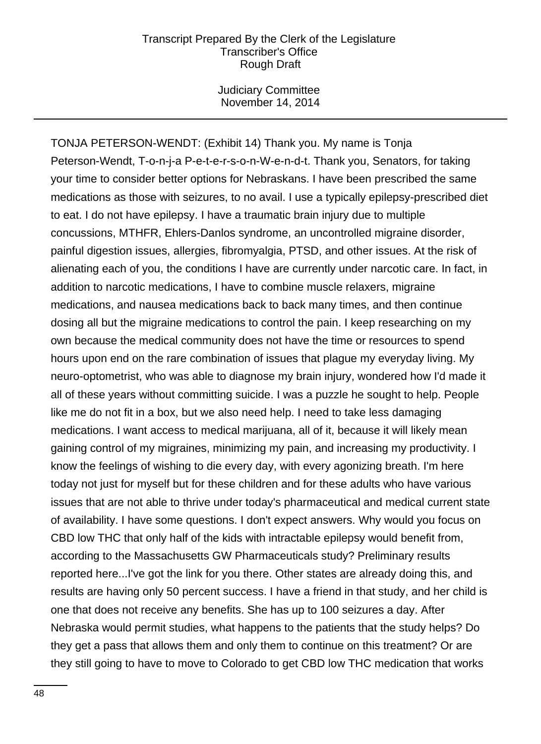Judiciary Committee November 14, 2014

TONJA PETERSON-WENDT: (Exhibit 14) Thank you. My name is Tonja Peterson-Wendt, T-o-n-j-a P-e-t-e-r-s-o-n-W-e-n-d-t. Thank you, Senators, for taking your time to consider better options for Nebraskans. I have been prescribed the same medications as those with seizures, to no avail. I use a typically epilepsy-prescribed diet to eat. I do not have epilepsy. I have a traumatic brain injury due to multiple concussions, MTHFR, Ehlers-Danlos syndrome, an uncontrolled migraine disorder, painful digestion issues, allergies, fibromyalgia, PTSD, and other issues. At the risk of alienating each of you, the conditions I have are currently under narcotic care. In fact, in addition to narcotic medications, I have to combine muscle relaxers, migraine medications, and nausea medications back to back many times, and then continue dosing all but the migraine medications to control the pain. I keep researching on my own because the medical community does not have the time or resources to spend hours upon end on the rare combination of issues that plague my everyday living. My neuro-optometrist, who was able to diagnose my brain injury, wondered how I'd made it all of these years without committing suicide. I was a puzzle he sought to help. People like me do not fit in a box, but we also need help. I need to take less damaging medications. I want access to medical marijuana, all of it, because it will likely mean gaining control of my migraines, minimizing my pain, and increasing my productivity. I know the feelings of wishing to die every day, with every agonizing breath. I'm here today not just for myself but for these children and for these adults who have various issues that are not able to thrive under today's pharmaceutical and medical current state of availability. I have some questions. I don't expect answers. Why would you focus on CBD low THC that only half of the kids with intractable epilepsy would benefit from, according to the Massachusetts GW Pharmaceuticals study? Preliminary results reported here...I've got the link for you there. Other states are already doing this, and results are having only 50 percent success. I have a friend in that study, and her child is one that does not receive any benefits. She has up to 100 seizures a day. After Nebraska would permit studies, what happens to the patients that the study helps? Do they get a pass that allows them and only them to continue on this treatment? Or are they still going to have to move to Colorado to get CBD low THC medication that works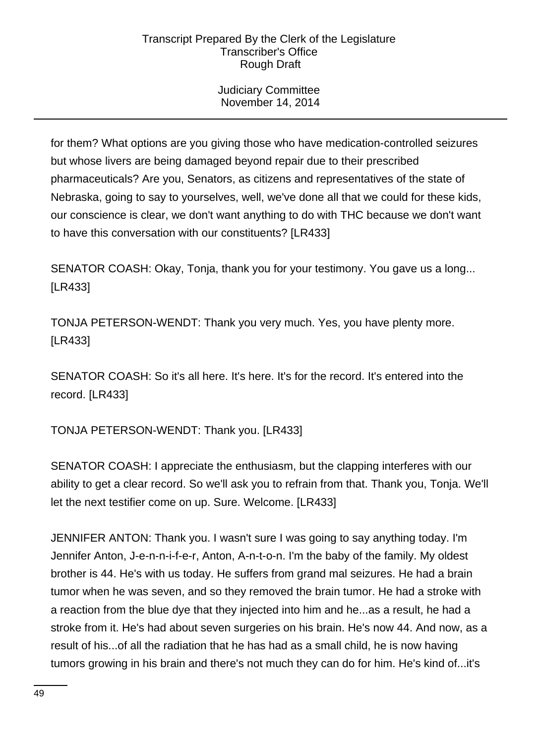Judiciary Committee November 14, 2014

for them? What options are you giving those who have medication-controlled seizures but whose livers are being damaged beyond repair due to their prescribed pharmaceuticals? Are you, Senators, as citizens and representatives of the state of Nebraska, going to say to yourselves, well, we've done all that we could for these kids, our conscience is clear, we don't want anything to do with THC because we don't want to have this conversation with our constituents? [LR433]

SENATOR COASH: Okay, Tonja, thank you for your testimony. You gave us a long... [LR433]

TONJA PETERSON-WENDT: Thank you very much. Yes, you have plenty more. [LR433]

SENATOR COASH: So it's all here. It's here. It's for the record. It's entered into the record. [LR433]

TONJA PETERSON-WENDT: Thank you. [LR433]

SENATOR COASH: I appreciate the enthusiasm, but the clapping interferes with our ability to get a clear record. So we'll ask you to refrain from that. Thank you, Tonja. We'll let the next testifier come on up. Sure. Welcome. [LR433]

JENNIFER ANTON: Thank you. I wasn't sure I was going to say anything today. I'm Jennifer Anton, J-e-n-n-i-f-e-r, Anton, A-n-t-o-n. I'm the baby of the family. My oldest brother is 44. He's with us today. He suffers from grand mal seizures. He had a brain tumor when he was seven, and so they removed the brain tumor. He had a stroke with a reaction from the blue dye that they injected into him and he...as a result, he had a stroke from it. He's had about seven surgeries on his brain. He's now 44. And now, as a result of his...of all the radiation that he has had as a small child, he is now having tumors growing in his brain and there's not much they can do for him. He's kind of...it's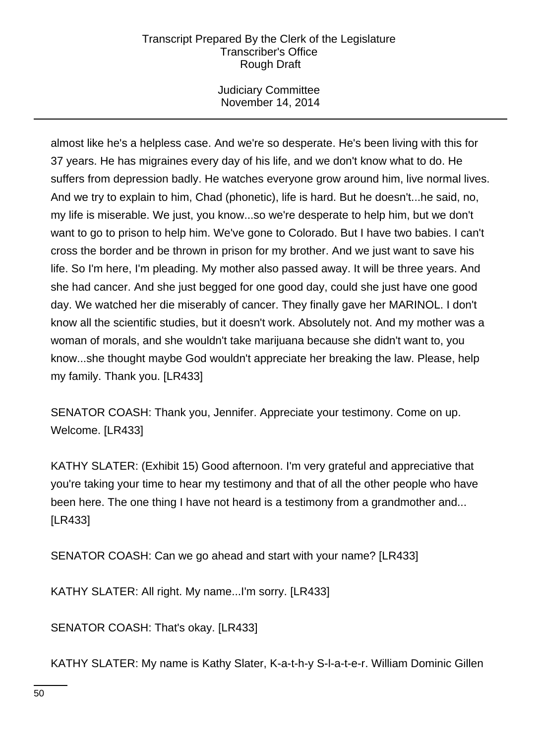Judiciary Committee November 14, 2014

almost like he's a helpless case. And we're so desperate. He's been living with this for 37 years. He has migraines every day of his life, and we don't know what to do. He suffers from depression badly. He watches everyone grow around him, live normal lives. And we try to explain to him, Chad (phonetic), life is hard. But he doesn't...he said, no, my life is miserable. We just, you know...so we're desperate to help him, but we don't want to go to prison to help him. We've gone to Colorado. But I have two babies. I can't cross the border and be thrown in prison for my brother. And we just want to save his life. So I'm here, I'm pleading. My mother also passed away. It will be three years. And she had cancer. And she just begged for one good day, could she just have one good day. We watched her die miserably of cancer. They finally gave her MARINOL. I don't know all the scientific studies, but it doesn't work. Absolutely not. And my mother was a woman of morals, and she wouldn't take marijuana because she didn't want to, you know...she thought maybe God wouldn't appreciate her breaking the law. Please, help my family. Thank you. [LR433]

SENATOR COASH: Thank you, Jennifer. Appreciate your testimony. Come on up. Welcome. [LR433]

KATHY SLATER: (Exhibit 15) Good afternoon. I'm very grateful and appreciative that you're taking your time to hear my testimony and that of all the other people who have been here. The one thing I have not heard is a testimony from a grandmother and... [LR433]

SENATOR COASH: Can we go ahead and start with your name? [LR433]

KATHY SLATER: All right. My name...I'm sorry. [LR433]

SENATOR COASH: That's okay. [LR433]

KATHY SLATER: My name is Kathy Slater, K-a-t-h-y S-l-a-t-e-r. William Dominic Gillen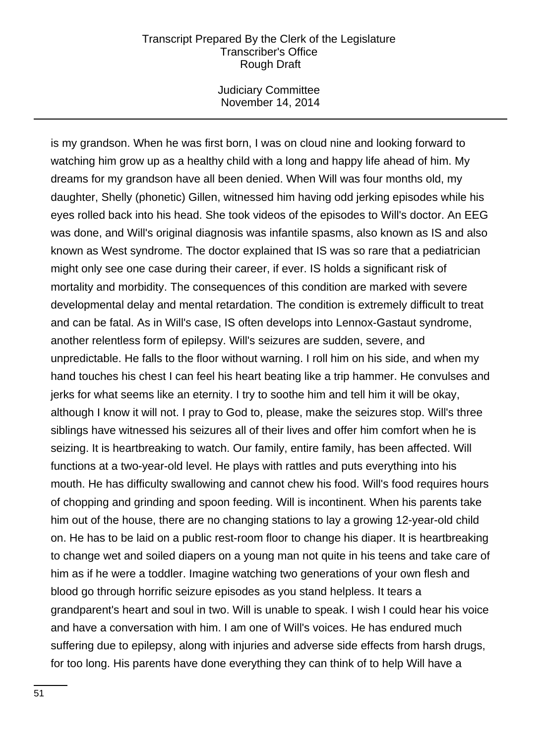Judiciary Committee November 14, 2014

is my grandson. When he was first born, I was on cloud nine and looking forward to watching him grow up as a healthy child with a long and happy life ahead of him. My dreams for my grandson have all been denied. When Will was four months old, my daughter, Shelly (phonetic) Gillen, witnessed him having odd jerking episodes while his eyes rolled back into his head. She took videos of the episodes to Will's doctor. An EEG was done, and Will's original diagnosis was infantile spasms, also known as IS and also known as West syndrome. The doctor explained that IS was so rare that a pediatrician might only see one case during their career, if ever. IS holds a significant risk of mortality and morbidity. The consequences of this condition are marked with severe developmental delay and mental retardation. The condition is extremely difficult to treat and can be fatal. As in Will's case, IS often develops into Lennox-Gastaut syndrome, another relentless form of epilepsy. Will's seizures are sudden, severe, and unpredictable. He falls to the floor without warning. I roll him on his side, and when my hand touches his chest I can feel his heart beating like a trip hammer. He convulses and jerks for what seems like an eternity. I try to soothe him and tell him it will be okay, although I know it will not. I pray to God to, please, make the seizures stop. Will's three siblings have witnessed his seizures all of their lives and offer him comfort when he is seizing. It is heartbreaking to watch. Our family, entire family, has been affected. Will functions at a two-year-old level. He plays with rattles and puts everything into his mouth. He has difficulty swallowing and cannot chew his food. Will's food requires hours of chopping and grinding and spoon feeding. Will is incontinent. When his parents take him out of the house, there are no changing stations to lay a growing 12-year-old child on. He has to be laid on a public rest-room floor to change his diaper. It is heartbreaking to change wet and soiled diapers on a young man not quite in his teens and take care of him as if he were a toddler. Imagine watching two generations of your own flesh and blood go through horrific seizure episodes as you stand helpless. It tears a grandparent's heart and soul in two. Will is unable to speak. I wish I could hear his voice and have a conversation with him. I am one of Will's voices. He has endured much suffering due to epilepsy, along with injuries and adverse side effects from harsh drugs, for too long. His parents have done everything they can think of to help Will have a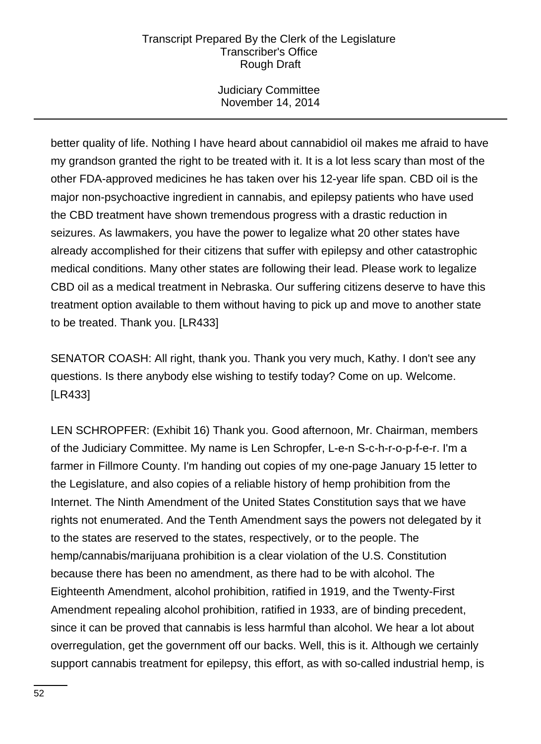Judiciary Committee November 14, 2014

better quality of life. Nothing I have heard about cannabidiol oil makes me afraid to have my grandson granted the right to be treated with it. It is a lot less scary than most of the other FDA-approved medicines he has taken over his 12-year life span. CBD oil is the major non-psychoactive ingredient in cannabis, and epilepsy patients who have used the CBD treatment have shown tremendous progress with a drastic reduction in seizures. As lawmakers, you have the power to legalize what 20 other states have already accomplished for their citizens that suffer with epilepsy and other catastrophic medical conditions. Many other states are following their lead. Please work to legalize CBD oil as a medical treatment in Nebraska. Our suffering citizens deserve to have this treatment option available to them without having to pick up and move to another state to be treated. Thank you. [LR433]

SENATOR COASH: All right, thank you. Thank you very much, Kathy. I don't see any questions. Is there anybody else wishing to testify today? Come on up. Welcome. [LR433]

LEN SCHROPFER: (Exhibit 16) Thank you. Good afternoon, Mr. Chairman, members of the Judiciary Committee. My name is Len Schropfer, L-e-n S-c-h-r-o-p-f-e-r. I'm a farmer in Fillmore County. I'm handing out copies of my one-page January 15 letter to the Legislature, and also copies of a reliable history of hemp prohibition from the Internet. The Ninth Amendment of the United States Constitution says that we have rights not enumerated. And the Tenth Amendment says the powers not delegated by it to the states are reserved to the states, respectively, or to the people. The hemp/cannabis/marijuana prohibition is a clear violation of the U.S. Constitution because there has been no amendment, as there had to be with alcohol. The Eighteenth Amendment, alcohol prohibition, ratified in 1919, and the Twenty-First Amendment repealing alcohol prohibition, ratified in 1933, are of binding precedent, since it can be proved that cannabis is less harmful than alcohol. We hear a lot about overregulation, get the government off our backs. Well, this is it. Although we certainly support cannabis treatment for epilepsy, this effort, as with so-called industrial hemp, is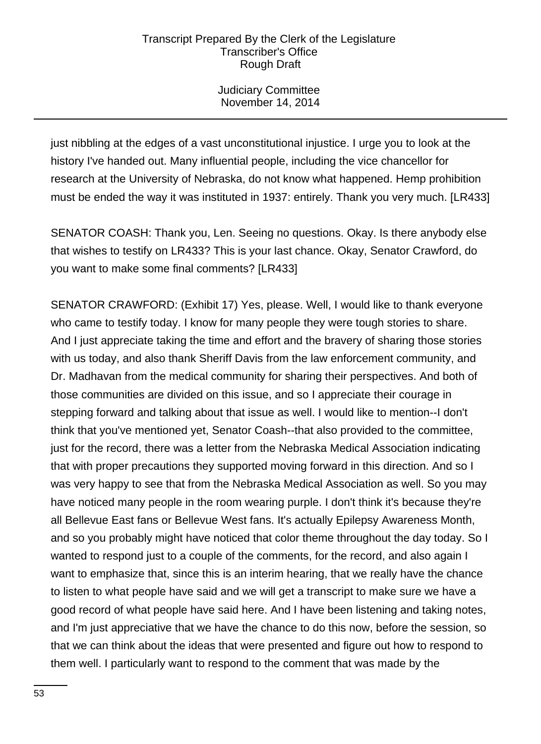Judiciary Committee November 14, 2014

just nibbling at the edges of a vast unconstitutional injustice. I urge you to look at the history I've handed out. Many influential people, including the vice chancellor for research at the University of Nebraska, do not know what happened. Hemp prohibition must be ended the way it was instituted in 1937: entirely. Thank you very much. [LR433]

SENATOR COASH: Thank you, Len. Seeing no questions. Okay. Is there anybody else that wishes to testify on LR433? This is your last chance. Okay, Senator Crawford, do you want to make some final comments? [LR433]

SENATOR CRAWFORD: (Exhibit 17) Yes, please. Well, I would like to thank everyone who came to testify today. I know for many people they were tough stories to share. And I just appreciate taking the time and effort and the bravery of sharing those stories with us today, and also thank Sheriff Davis from the law enforcement community, and Dr. Madhavan from the medical community for sharing their perspectives. And both of those communities are divided on this issue, and so I appreciate their courage in stepping forward and talking about that issue as well. I would like to mention--I don't think that you've mentioned yet, Senator Coash--that also provided to the committee, just for the record, there was a letter from the Nebraska Medical Association indicating that with proper precautions they supported moving forward in this direction. And so I was very happy to see that from the Nebraska Medical Association as well. So you may have noticed many people in the room wearing purple. I don't think it's because they're all Bellevue East fans or Bellevue West fans. It's actually Epilepsy Awareness Month, and so you probably might have noticed that color theme throughout the day today. So I wanted to respond just to a couple of the comments, for the record, and also again I want to emphasize that, since this is an interim hearing, that we really have the chance to listen to what people have said and we will get a transcript to make sure we have a good record of what people have said here. And I have been listening and taking notes, and I'm just appreciative that we have the chance to do this now, before the session, so that we can think about the ideas that were presented and figure out how to respond to them well. I particularly want to respond to the comment that was made by the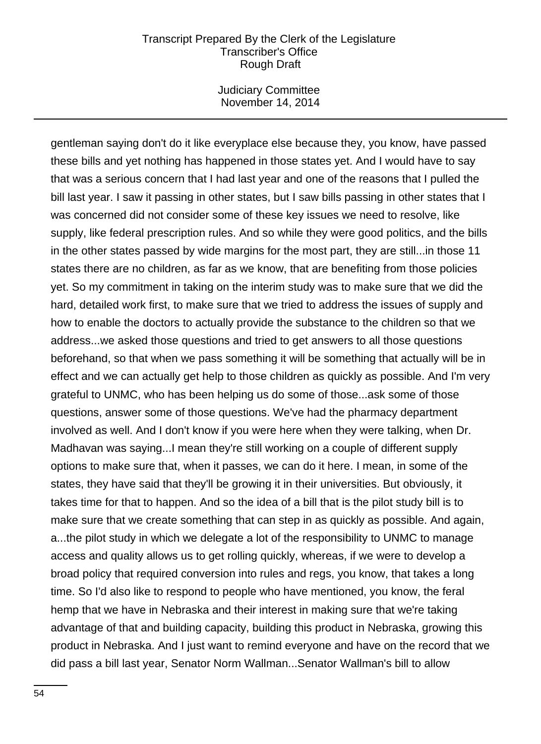Judiciary Committee November 14, 2014

gentleman saying don't do it like everyplace else because they, you know, have passed these bills and yet nothing has happened in those states yet. And I would have to say that was a serious concern that I had last year and one of the reasons that I pulled the bill last year. I saw it passing in other states, but I saw bills passing in other states that I was concerned did not consider some of these key issues we need to resolve, like supply, like federal prescription rules. And so while they were good politics, and the bills in the other states passed by wide margins for the most part, they are still...in those 11 states there are no children, as far as we know, that are benefiting from those policies yet. So my commitment in taking on the interim study was to make sure that we did the hard, detailed work first, to make sure that we tried to address the issues of supply and how to enable the doctors to actually provide the substance to the children so that we address...we asked those questions and tried to get answers to all those questions beforehand, so that when we pass something it will be something that actually will be in effect and we can actually get help to those children as quickly as possible. And I'm very grateful to UNMC, who has been helping us do some of those...ask some of those questions, answer some of those questions. We've had the pharmacy department involved as well. And I don't know if you were here when they were talking, when Dr. Madhavan was saying...I mean they're still working on a couple of different supply options to make sure that, when it passes, we can do it here. I mean, in some of the states, they have said that they'll be growing it in their universities. But obviously, it takes time for that to happen. And so the idea of a bill that is the pilot study bill is to make sure that we create something that can step in as quickly as possible. And again, a...the pilot study in which we delegate a lot of the responsibility to UNMC to manage access and quality allows us to get rolling quickly, whereas, if we were to develop a broad policy that required conversion into rules and regs, you know, that takes a long time. So I'd also like to respond to people who have mentioned, you know, the feral hemp that we have in Nebraska and their interest in making sure that we're taking advantage of that and building capacity, building this product in Nebraska, growing this product in Nebraska. And I just want to remind everyone and have on the record that we did pass a bill last year, Senator Norm Wallman...Senator Wallman's bill to allow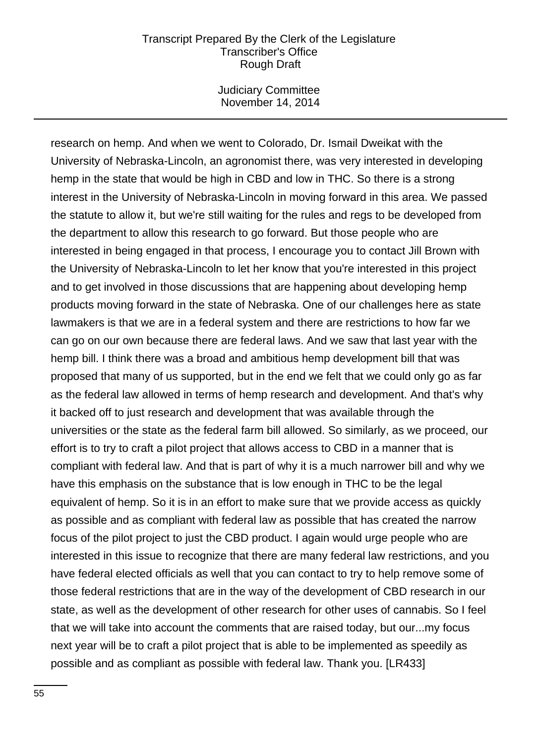Judiciary Committee November 14, 2014

research on hemp. And when we went to Colorado, Dr. Ismail Dweikat with the University of Nebraska-Lincoln, an agronomist there, was very interested in developing hemp in the state that would be high in CBD and low in THC. So there is a strong interest in the University of Nebraska-Lincoln in moving forward in this area. We passed the statute to allow it, but we're still waiting for the rules and regs to be developed from the department to allow this research to go forward. But those people who are interested in being engaged in that process, I encourage you to contact Jill Brown with the University of Nebraska-Lincoln to let her know that you're interested in this project and to get involved in those discussions that are happening about developing hemp products moving forward in the state of Nebraska. One of our challenges here as state lawmakers is that we are in a federal system and there are restrictions to how far we can go on our own because there are federal laws. And we saw that last year with the hemp bill. I think there was a broad and ambitious hemp development bill that was proposed that many of us supported, but in the end we felt that we could only go as far as the federal law allowed in terms of hemp research and development. And that's why it backed off to just research and development that was available through the universities or the state as the federal farm bill allowed. So similarly, as we proceed, our effort is to try to craft a pilot project that allows access to CBD in a manner that is compliant with federal law. And that is part of why it is a much narrower bill and why we have this emphasis on the substance that is low enough in THC to be the legal equivalent of hemp. So it is in an effort to make sure that we provide access as quickly as possible and as compliant with federal law as possible that has created the narrow focus of the pilot project to just the CBD product. I again would urge people who are interested in this issue to recognize that there are many federal law restrictions, and you have federal elected officials as well that you can contact to try to help remove some of those federal restrictions that are in the way of the development of CBD research in our state, as well as the development of other research for other uses of cannabis. So I feel that we will take into account the comments that are raised today, but our...my focus next year will be to craft a pilot project that is able to be implemented as speedily as possible and as compliant as possible with federal law. Thank you. [LR433]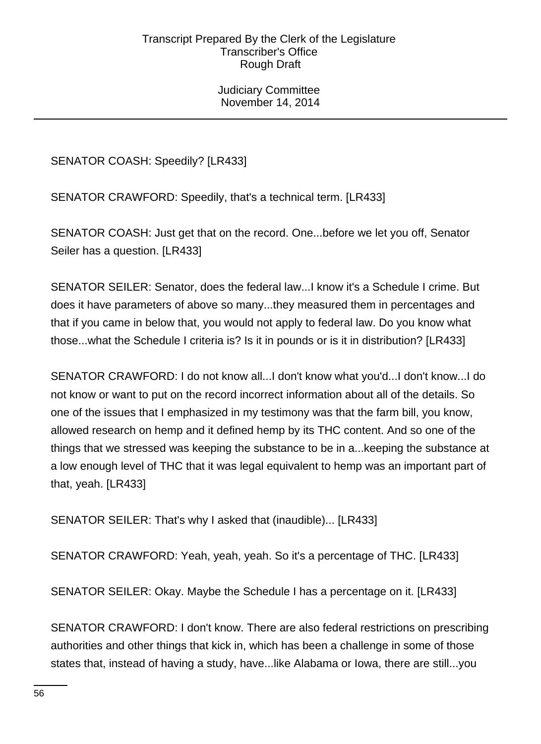Judiciary Committee November 14, 2014

SENATOR COASH: Speedily? [LR433]

SENATOR CRAWFORD: Speedily, that's a technical term. [LR433]

SENATOR COASH: Just get that on the record. One...before we let you off, Senator Seiler has a question. [LR433]

SENATOR SEILER: Senator, does the federal law...I know it's a Schedule I crime. But does it have parameters of above so many...they measured them in percentages and that if you came in below that, you would not apply to federal law. Do you know what those...what the Schedule I criteria is? Is it in pounds or is it in distribution? [LR433]

SENATOR CRAWFORD: I do not know all...I don't know what you'd...I don't know...I do not know or want to put on the record incorrect information about all of the details. So one of the issues that I emphasized in my testimony was that the farm bill, you know, allowed research on hemp and it defined hemp by its THC content. And so one of the things that we stressed was keeping the substance to be in a...keeping the substance at a low enough level of THC that it was legal equivalent to hemp was an important part of that, yeah. [LR433]

SENATOR SEILER: That's why I asked that (inaudible)... [LR433]

SENATOR CRAWFORD: Yeah, yeah, yeah. So it's a percentage of THC. [LR433]

SENATOR SEILER: Okay. Maybe the Schedule I has a percentage on it. [LR433]

SENATOR CRAWFORD: I don't know. There are also federal restrictions on prescribing authorities and other things that kick in, which has been a challenge in some of those states that, instead of having a study, have...like Alabama or Iowa, there are still...you